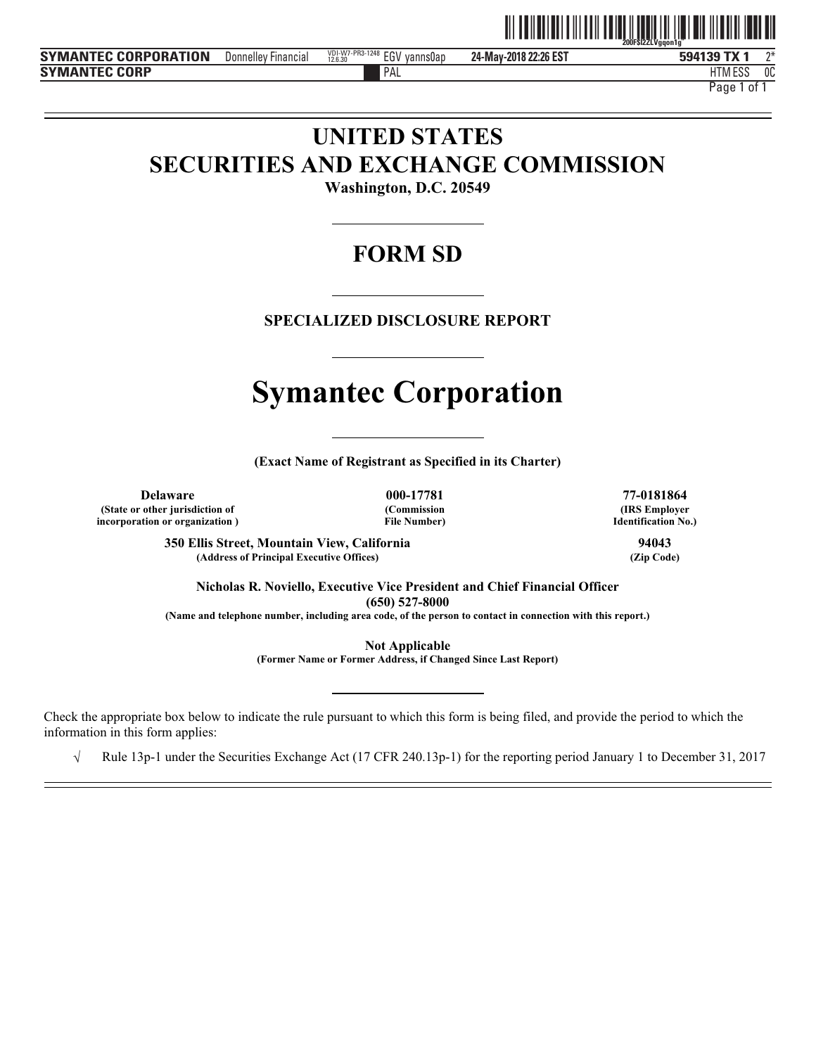

**24-May-2018 22:26 EST** Donnelley Financial  $^{120.107\times PRS \cdot 1248}_{22.630}$  EGV yanns0ap 24-May-2018 22:26 EST  $\hspace{1cm}$  594139 TX 1  $\hspace{1cm} 2^*$ 

PAL FILM IN THE PALL THAT IN THE RELATION OF THE RELATION OF THE RELATIONSHIP OF THE RELATIONSHIP OF THE RELATIONSHIP OF THE RELATIONSHIP OF THE RELATIONSHIP OF THE RELATIONSHIP OF THE RELATIONSHIP OF THE RELATIONSHIP OF T HTM ESS 0C Page 1 of 1

# **UNITED STATES SECURITIES AND EXCHANGE COMMISSION**

**Washington, D.C. 20549** 

# **FORM SD**

**SPECIALIZED DISCLOSURE REPORT** 

# **Symantec Corporation**

**(Exact Name of Registrant as Specified in its Charter)** 

**Delaware 000-17781 77-0181864 (State or other jurisdiction of incorporation or organization )**

**(Commission File Number)**

**(IRS Employer Identification No.)**

**350 Ellis Street, Mountain View, California 94043** (Address of Principal Executive Offices)

**Nicholas R. Noviello, Executive Vice President and Chief Financial Officer (650) 527-8000** 

**(Name and telephone number, including area code, of the person to contact in connection with this report.)** 

**Not Applicable** 

**(Former Name or Former Address, if Changed Since Last Report)** 

Check the appropriate box below to indicate the rule pursuant to which this form is being filed, and provide the period to which the information in this form applies:

 $\sqrt{\phantom{a}}$  Rule 13p-1 under the Securities Exchange Act (17 CFR 240.13p-1) for the reporting period January 1 to December 31, 2017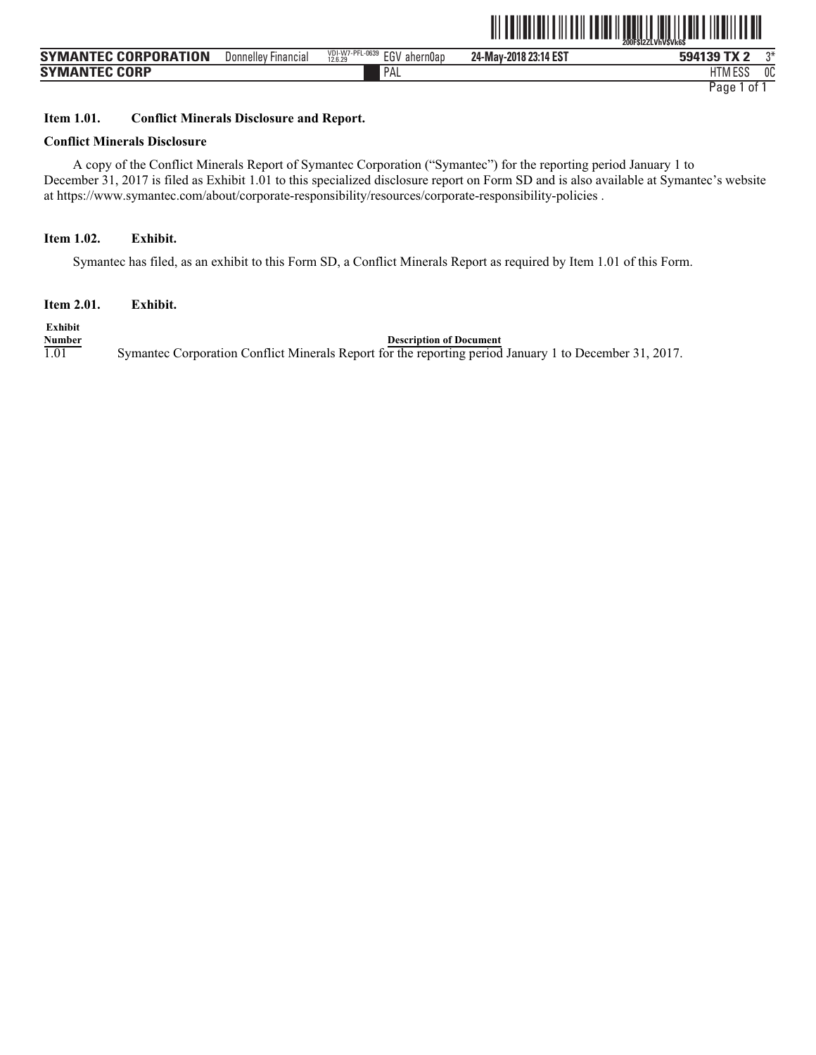|                             |                     |                                               |                       | <b>THE THE TERM</b><br>200FSI22LVhVSVk6S<br>III IIIIIIIII<br>Ш<br>IIII IIIIII IIII<br>$\parallel$ |    |  |  |
|-----------------------------|---------------------|-----------------------------------------------|-----------------------|---------------------------------------------------------------------------------------------------|----|--|--|
| <b>SYMANTEC CORPORATION</b> | Donnelley Financial | VDI-W7-PFL-0639<br>EGV<br>ahern0ap<br>12.6.29 | 24-May-2018 23:14 EST | 594139 TX 2                                                                                       | ግ* |  |  |
| <b>SYMANTEC CORP</b>        |                     | PAL                                           |                       | ESS                                                                                               | 0C |  |  |

PAL FILM IN THE PALL THAT IN THE RELATION OF THE RELATION OF THE RELATIONSHIP OF THE RELATIONSHIP OF THE RELATIONSHIP OF THE RELATIONSHIP OF THE RELATIONSHIP OF THE RELATIONSHIP OF THE RELATIONSHIP OF THE RELATIONSHIP OF T HTM ESS 0C Page 1 of 1

# **Item 1.01. Conflict Minerals Disclosure and Report.**

# **Conflict Minerals Disclosure**

A copy of the Conflict Minerals Report of Symantec Corporation ("Symantec") for the reporting period January 1 to December 31, 2017 is filed as Exhibit 1.01 to this specialized disclosure report on Form SD and is also available at Symantec's website at https://www.symantec.com/about/corporate-responsibility/resources/corporate-responsibility-policies .

# **Item 1.02. Exhibit.**

Symantec has filed, as an exhibit to this Form SD, a Conflict Minerals Report as required by Item 1.01 of this Form.

**Item 2.01. Exhibit.** 

**Exhibit**

**Number**<br>1.01 Symantec Corporation Conflict Minerals Report for the reporting period 1.01 Symantec Corporation Conflict Minerals Report for the reporting period January 1 to December 31, 2017.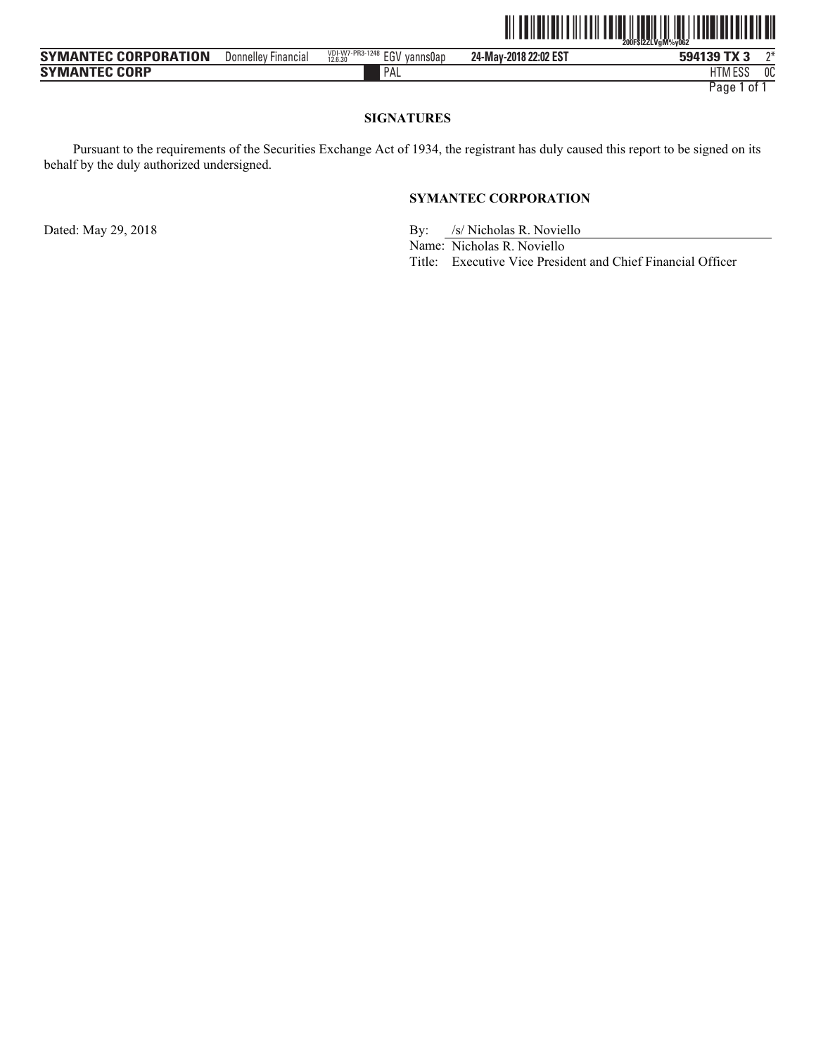|                             |                     |                                            | <u> III IIIIIIIIIIIIIIIIII</u> | <u>                              </u><br><u> I III (I IIII) (III)</u><br>ŽOOFŠÍŽŽĹVaM%vO62 |    |
|-----------------------------|---------------------|--------------------------------------------|--------------------------------|--------------------------------------------------------------------------------------------|----|
| <b>SYMANTEC CORPORATION</b> | Donnelley Financial | VDI-W7-PR3-1248 EGV<br>vanns0ap<br>12.6.30 | 24-May-2018 22:02 EST          | 594139 TX 3                                                                                | ግ∗ |
| <b>SYMANTEC CORP</b>        |                     | PAL                                        |                                | <b>HTM ESS</b>                                                                             | 0C |

HTM ESS 0C Page 1 of 1

# **SIGNATURES**

Pursuant to the requirements of the Securities Exchange Act of 1934, the registrant has duly caused this report to be signed on its behalf by the duly authorized undersigned.

# **SYMANTEC CORPORATION**

Dated: May 29, 2018 By: /s/ Nicholas R. Noviello

Name: Nicholas R. Noviello

Title: Executive Vice President and Chief Financial Officer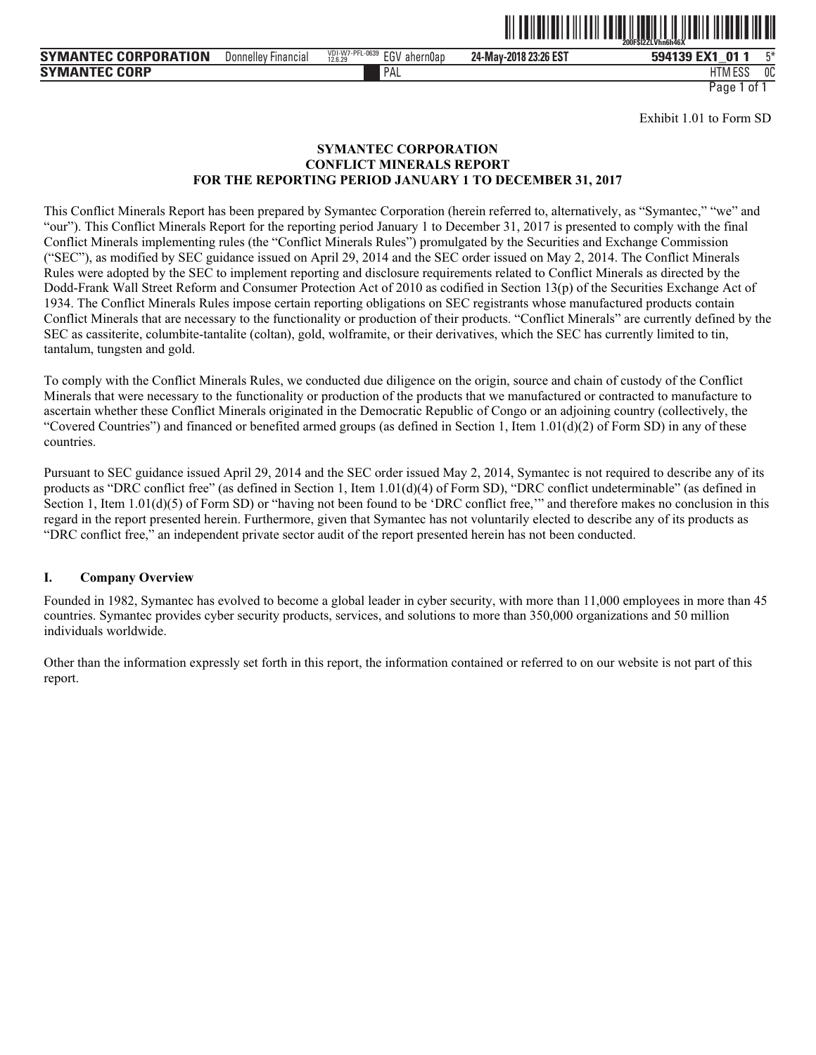

Donnelley Financial <sup>vol.e</sup>xt<sup>y-rruu</sup>oss EGV ahern0ap **24-May-2018 23:26 EST 594139 EX1\_01 1** 5\*

PAL FILM IN THE PALL THAT IN THE RELATION OF THE RELATION OF THE RELATIONSHIP OF THE RELATIONSHIP OF THE RELATIONSHIP OF THE RELATIONSHIP OF THE RELATIONSHIP OF THE RELATIONSHIP OF THE RELATIONSHIP OF THE RELATIONSHIP OF T HTM ESS 0C

Page 1 of 1

Exhibit 1.01 to Form SD

#### **SYMANTEC CORPORATION CONFLICT MINERALS REPORT FOR THE REPORTING PERIOD JANUARY 1 TO DECEMBER 31, 2017**

This Conflict Minerals Report has been prepared by Symantec Corporation (herein referred to, alternatively, as "Symantec," "we" and "our"). This Conflict Minerals Report for the reporting period January 1 to December 31, 2017 is presented to comply with the final Conflict Minerals implementing rules (the "Conflict Minerals Rules") promulgated by the Securities and Exchange Commission ("SEC"), as modified by SEC guidance issued on April 29, 2014 and the SEC order issued on May 2, 2014. The Conflict Minerals Rules were adopted by the SEC to implement reporting and disclosure requirements related to Conflict Minerals as directed by the Dodd-Frank Wall Street Reform and Consumer Protection Act of 2010 as codified in Section 13(p) of the Securities Exchange Act of 1934. The Conflict Minerals Rules impose certain reporting obligations on SEC registrants whose manufactured products contain Conflict Minerals that are necessary to the functionality or production of their products. "Conflict Minerals" are currently defined by the SEC as cassiterite, columbite-tantalite (coltan), gold, wolframite, or their derivatives, which the SEC has currently limited to tin, tantalum, tungsten and gold.

To comply with the Conflict Minerals Rules, we conducted due diligence on the origin, source and chain of custody of the Conflict Minerals that were necessary to the functionality or production of the products that we manufactured or contracted to manufacture to ascertain whether these Conflict Minerals originated in the Democratic Republic of Congo or an adjoining country (collectively, the "Covered Countries") and financed or benefited armed groups (as defined in Section 1, Item  $1.01(d)(2)$  of Form SD) in any of these countries.

Pursuant to SEC guidance issued April 29, 2014 and the SEC order issued May 2, 2014, Symantec is not required to describe any of its products as "DRC conflict free" (as defined in Section 1, Item 1.01(d)(4) of Form SD), "DRC conflict undeterminable" (as defined in Section 1, Item 1.01(d)(5) of Form SD) or "having not been found to be 'DRC conflict free," and therefore makes no conclusion in this regard in the report presented herein. Furthermore, given that Symantec has not voluntarily elected to describe any of its products as "DRC conflict free," an independent private sector audit of the report presented herein has not been conducted.

#### **I. Company Overview**

Founded in 1982, Symantec has evolved to become a global leader in cyber security, with more than 11,000 employees in more than 45 countries. Symantec provides cyber security products, services, and solutions to more than 350,000 organizations and 50 million individuals worldwide.

Other than the information expressly set forth in this report, the information contained or referred to on our website is not part of this report.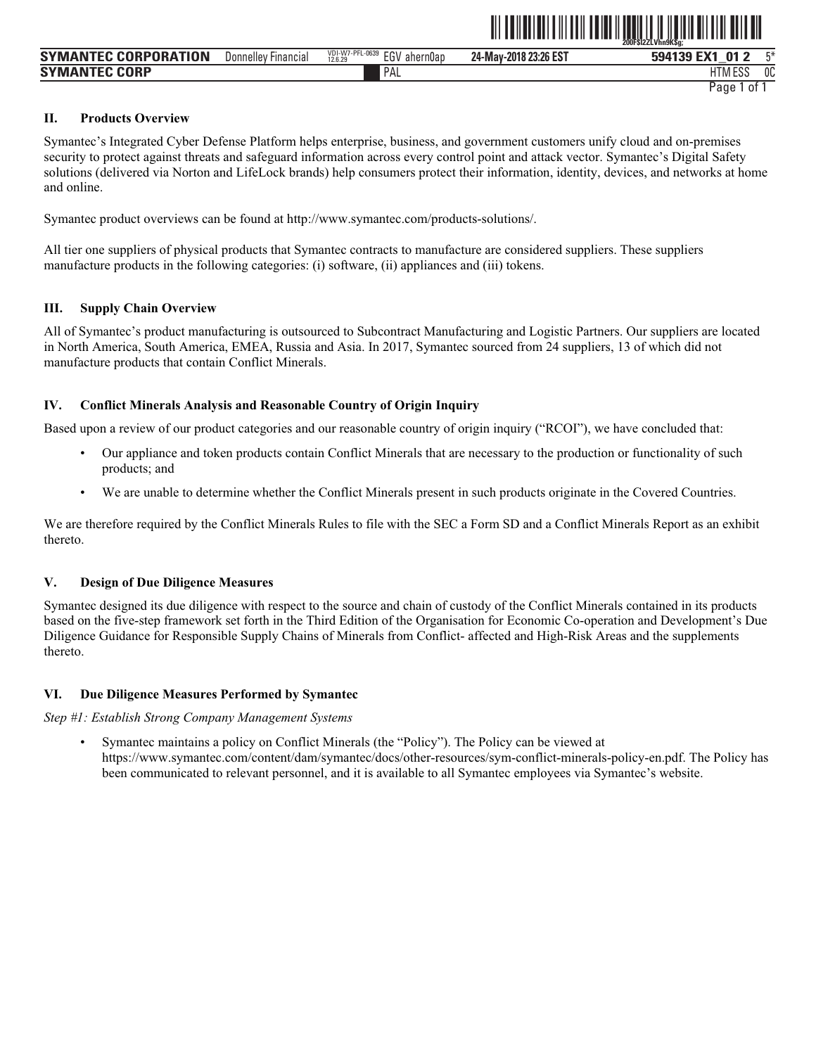|                             |                                     |                                               |                       | ZUUFSIZZLVNNYKSG;                     |
|-----------------------------|-------------------------------------|-----------------------------------------------|-----------------------|---------------------------------------|
| <b>SYMANTEC CORPORATION</b> | Donnelley<br>∵Financia <sub>r</sub> | VDI-W7-PFL-0639<br>EG\<br>ahern0ap<br>12.6.29 | 24-May-2018 23:26 EST | 口米<br>EV <sub>1</sub><br>01<br>594139 |
| <b>SYMANTEC CORP</b>        |                                     | PAL                                           |                       | 0C<br><b>HTM ESS</b>                  |
|                             |                                     |                                               |                       | 0t<br>Page                            |

ˆ200F\$l2ZLVhn9K\$g;Š **200F\$l2ZLVhn9K\$g;** 

#### **II. Products Overview**

Symantec's Integrated Cyber Defense Platform helps enterprise, business, and government customers unify cloud and on-premises security to protect against threats and safeguard information across every control point and attack vector. Symantec's Digital Safety solutions (delivered via Norton and LifeLock brands) help consumers protect their information, identity, devices, and networks at home and online.

Symantec product overviews can be found at http://www.symantec.com/products-solutions/.

All tier one suppliers of physical products that Symantec contracts to manufacture are considered suppliers. These suppliers manufacture products in the following categories: (i) software, (ii) appliances and (iii) tokens.

#### **III. Supply Chain Overview**

All of Symantec's product manufacturing is outsourced to Subcontract Manufacturing and Logistic Partners. Our suppliers are located in North America, South America, EMEA, Russia and Asia. In 2017, Symantec sourced from 24 suppliers, 13 of which did not manufacture products that contain Conflict Minerals.

#### **IV. Conflict Minerals Analysis and Reasonable Country of Origin Inquiry**

Based upon a review of our product categories and our reasonable country of origin inquiry ("RCOI"), we have concluded that:

- Our appliance and token products contain Conflict Minerals that are necessary to the production or functionality of such products; and
- We are unable to determine whether the Conflict Minerals present in such products originate in the Covered Countries.

We are therefore required by the Conflict Minerals Rules to file with the SEC a Form SD and a Conflict Minerals Report as an exhibit thereto.

#### **V. Design of Due Diligence Measures**

Symantec designed its due diligence with respect to the source and chain of custody of the Conflict Minerals contained in its products based on the five-step framework set forth in the Third Edition of the Organisation for Economic Co-operation and Development's Due Diligence Guidance for Responsible Supply Chains of Minerals from Conflict- affected and High-Risk Areas and the supplements thereto.

#### **VI. Due Diligence Measures Performed by Symantec**

*Step #1: Establish Strong Company Management Systems* 

• Symantec maintains a policy on Conflict Minerals (the "Policy"). The Policy can be viewed at https://www.symantec.com/content/dam/symantec/docs/other-resources/sym-conflict-minerals-policy-en.pdf. The Policy has been communicated to relevant personnel, and it is available to all Symantec employees via Symantec's website.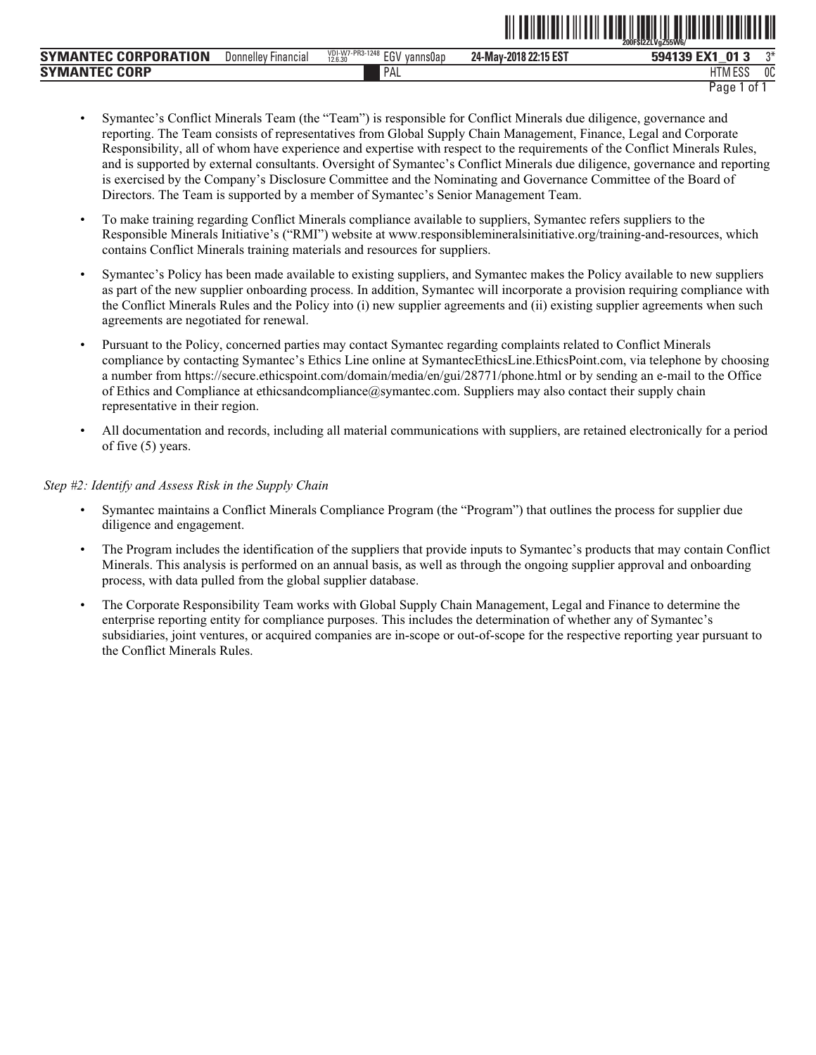|                             |                     |                                            |                       | ŽOOFŠIŽŽLVaŽ55W6/      |
|-----------------------------|---------------------|--------------------------------------------|-----------------------|------------------------|
| <b>SYMANTEC CORPORATION</b> | Donnelley Financial | VDI-W7-PR3-1248 EGV<br>vanns0ap<br>12.6.30 | 24-May-2018 22:15 EST | ግ*<br>594139 EX1<br>01 |
| <b>SYMANTEC CORP</b>        |                     | PAL                                        |                       | HTM ESS<br>nn<br>บบ    |
|                             |                     |                                            |                       | Page<br>0t             |

ˆ200F\$l2ZLVgZ55W6/Š **200F\$l2ZLVgZ55W6/**

- Symantec's Conflict Minerals Team (the "Team") is responsible for Conflict Minerals due diligence, governance and reporting. The Team consists of representatives from Global Supply Chain Management, Finance, Legal and Corporate Responsibility, all of whom have experience and expertise with respect to the requirements of the Conflict Minerals Rules, and is supported by external consultants. Oversight of Symantec's Conflict Minerals due diligence, governance and reporting is exercised by the Company's Disclosure Committee and the Nominating and Governance Committee of the Board of Directors. The Team is supported by a member of Symantec's Senior Management Team.
- To make training regarding Conflict Minerals compliance available to suppliers, Symantec refers suppliers to the Responsible Minerals Initiative's ("RMI") website at www.responsiblemineralsinitiative.org/training-and-resources, which contains Conflict Minerals training materials and resources for suppliers.
- Symantec's Policy has been made available to existing suppliers, and Symantec makes the Policy available to new suppliers as part of the new supplier onboarding process. In addition, Symantec will incorporate a provision requiring compliance with the Conflict Minerals Rules and the Policy into (i) new supplier agreements and (ii) existing supplier agreements when such agreements are negotiated for renewal.
- Pursuant to the Policy, concerned parties may contact Symantec regarding complaints related to Conflict Minerals compliance by contacting Symantec's Ethics Line online at SymantecEthicsLine.EthicsPoint.com, via telephone by choosing a number from https://secure.ethicspoint.com/domain/media/en/gui/28771/phone.html or by sending an e-mail to the Office of Ethics and Compliance at ethicsandcompliance@symantec.com. Suppliers may also contact their supply chain representative in their region.
- All documentation and records, including all material communications with suppliers, are retained electronically for a period of five (5) years.

#### *Step #2: Identify and Assess Risk in the Supply Chain*

- Symantec maintains a Conflict Minerals Compliance Program (the "Program") that outlines the process for supplier due diligence and engagement.
- The Program includes the identification of the suppliers that provide inputs to Symantec's products that may contain Conflict Minerals. This analysis is performed on an annual basis, as well as through the ongoing supplier approval and onboarding process, with data pulled from the global supplier database.
- The Corporate Responsibility Team works with Global Supply Chain Management, Legal and Finance to determine the enterprise reporting entity for compliance purposes. This includes the determination of whether any of Symantec's subsidiaries, joint ventures, or acquired companies are in-scope or out-of-scope for the respective reporting year pursuant to the Conflict Minerals Rules.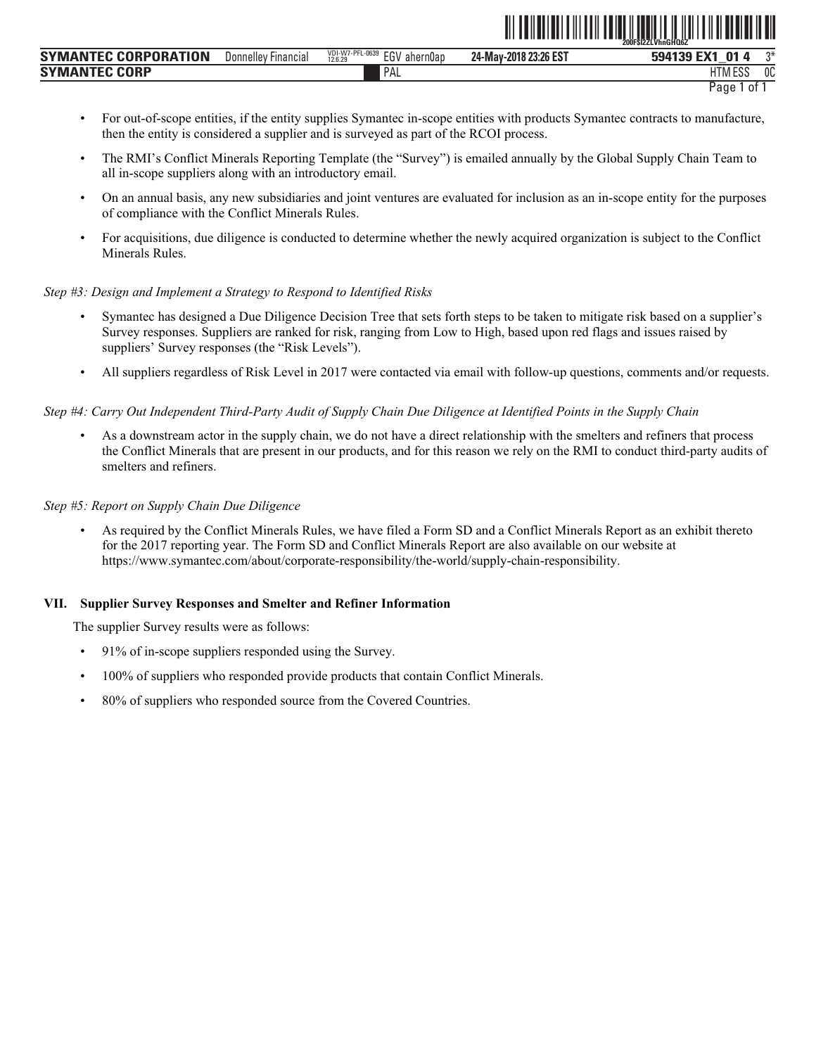|                      |                        |                                                 |                       | <b>LUUI JILLEVIIIIUI IUUL</b> |    |
|----------------------|------------------------|-------------------------------------------------|-----------------------|-------------------------------|----|
| SYMANTEC CORPORATION | Donnellev<br>Financial | VDI-W7-PFL-0639<br>EGV<br>' ahern0ap<br>12.6.29 | 24-May-2018 23:26 EST | 594139 EX1<br>ัก1             | ግ* |
| <b>SYMANTEC CORP</b> |                        | PAL                                             |                       | HTM ESS                       | 0C |
|                      |                        |                                                 |                       | Paqe<br>0t                    |    |

• For out-of-scope entities, if the entity supplies Symantec in-scope entities with products Symantec contracts to manufacture, then the entity is considered a supplier and is surveyed as part of the RCOI process.

**∂11 F\$l0BHQ6ZLVHNGHQf{LQ6ZLV}** 

- The RMI's Conflict Minerals Reporting Template (the "Survey") is emailed annually by the Global Supply Chain Team to all in-scope suppliers along with an introductory email.
- On an annual basis, any new subsidiaries and joint ventures are evaluated for inclusion as an in-scope entity for the purposes of compliance with the Conflict Minerals Rules.
- For acquisitions, due diligence is conducted to determine whether the newly acquired organization is subject to the Conflict Minerals Rules.

#### *Step #3: Design and Implement a Strategy to Respond to Identified Risks*

- Symantec has designed a Due Diligence Decision Tree that sets forth steps to be taken to mitigate risk based on a supplier's Survey responses. Suppliers are ranked for risk, ranging from Low to High, based upon red flags and issues raised by suppliers' Survey responses (the "Risk Levels").
- All suppliers regardless of Risk Level in 2017 were contacted via email with follow-up questions, comments and/or requests.

#### *Step #4: Carry Out Independent Third-Party Audit of Supply Chain Due Diligence at Identified Points in the Supply Chain*

• As a downstream actor in the supply chain, we do not have a direct relationship with the smelters and refiners that process the Conflict Minerals that are present in our products, and for this reason we rely on the RMI to conduct third-party audits of smelters and refiners.

#### *Step #5: Report on Supply Chain Due Diligence*

• As required by the Conflict Minerals Rules, we have filed a Form SD and a Conflict Minerals Report as an exhibit thereto for the 2017 reporting year. The Form SD and Conflict Minerals Report are also available on our website at https://www.symantec.com/about/corporate-responsibility/the-world/supply-chain-responsibility.

#### **VII. Supplier Survey Responses and Smelter and Refiner Information**

The supplier Survey results were as follows:

- 91% of in-scope suppliers responded using the Survey.
- 100% of suppliers who responded provide products that contain Conflict Minerals.
- 80% of suppliers who responded source from the Covered Countries.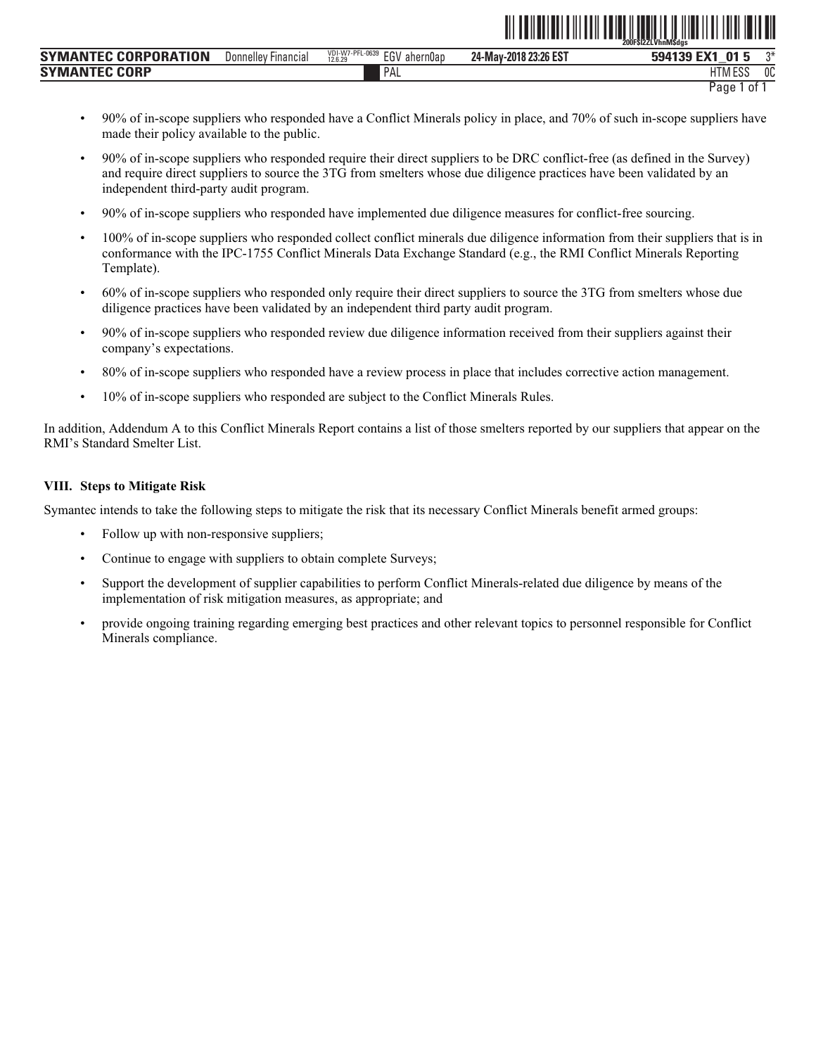|                             |                            |                                               |                       | ZUUFSIZZLVNNIVISAGS        |
|-----------------------------|----------------------------|-----------------------------------------------|-----------------------|----------------------------|
| <b>SYMANTEC CORPORATION</b> | <b>Donnelley Financial</b> | VDI-W7-PFL-0639<br>EGV<br>ahern0ap<br>12.6.29 | 24-May-2018 23:26 EST | ົດ⋇<br>EY1<br>01<br>594139 |
| <b>SYMANTEC CORP</b>        |                            | PAL                                           |                       | 0C<br><b>HTM ESS</b>       |
|                             |                            |                                               |                       | Page<br>0t                 |

• 90% of in-scope suppliers who responded have a Conflict Minerals policy in place, and 70% of such in-scope suppliers have made their policy available to the public.

ˆ200F\$l2ZLVhnM\$dgsŠ **200F\$l2ZLVhnM\$dgs**

- 90% of in-scope suppliers who responded require their direct suppliers to be DRC conflict-free (as defined in the Survey) and require direct suppliers to source the 3TG from smelters whose due diligence practices have been validated by an independent third-party audit program.
- 90% of in-scope suppliers who responded have implemented due diligence measures for conflict-free sourcing.
- 100% of in-scope suppliers who responded collect conflict minerals due diligence information from their suppliers that is in conformance with the IPC-1755 Conflict Minerals Data Exchange Standard (e.g., the RMI Conflict Minerals Reporting Template).
- 60% of in-scope suppliers who responded only require their direct suppliers to source the 3TG from smelters whose due diligence practices have been validated by an independent third party audit program.
- 90% of in-scope suppliers who responded review due diligence information received from their suppliers against their company's expectations.
- 80% of in-scope suppliers who responded have a review process in place that includes corrective action management.
- 10% of in-scope suppliers who responded are subject to the Conflict Minerals Rules.

In addition, Addendum A to this Conflict Minerals Report contains a list of those smelters reported by our suppliers that appear on the RMI's Standard Smelter List.

#### **VIII. Steps to Mitigate Risk**

Symantec intends to take the following steps to mitigate the risk that its necessary Conflict Minerals benefit armed groups:

- Follow up with non-responsive suppliers;
- Continue to engage with suppliers to obtain complete Surveys;
- Support the development of supplier capabilities to perform Conflict Minerals-related due diligence by means of the implementation of risk mitigation measures, as appropriate; and
- provide ongoing training regarding emerging best practices and other relevant topics to personnel responsible for Conflict Minerals compliance.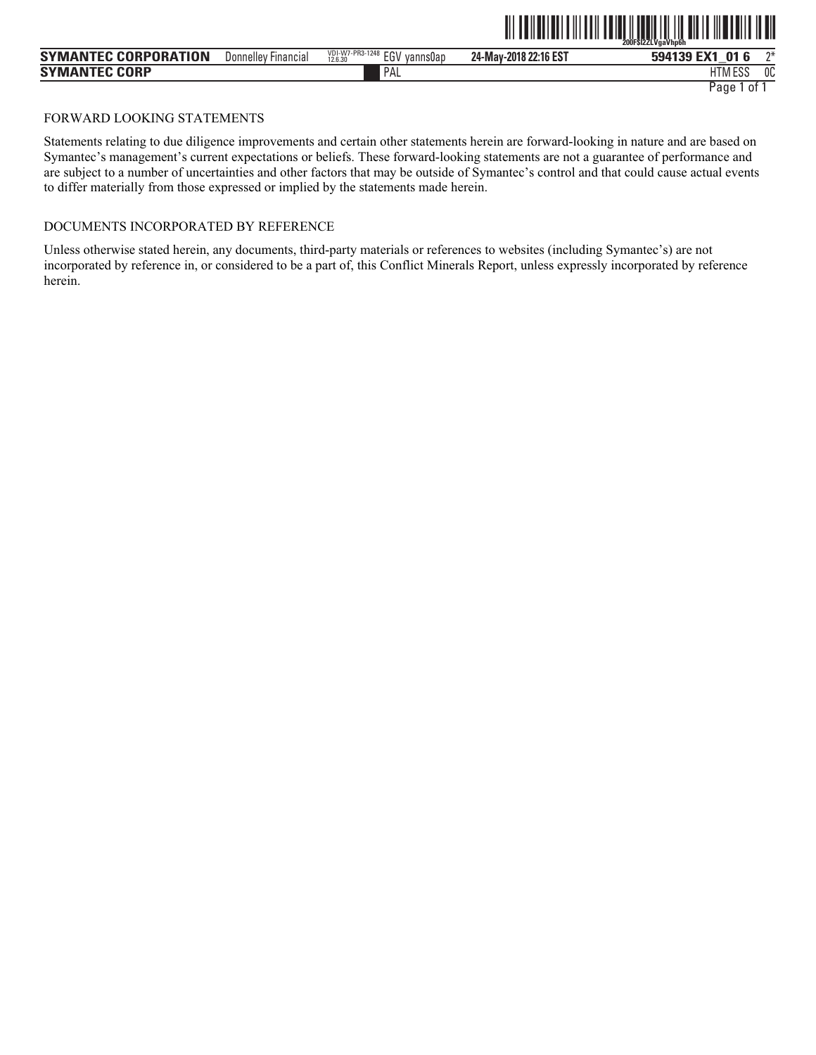|                             |                     |                                               | 200FSI2ZLVgaVhp6h     |                     |      |
|-----------------------------|---------------------|-----------------------------------------------|-----------------------|---------------------|------|
| <b>SYMANTEC CORPORATION</b> | Donnelley Financial | VDI-W7-PR3-1248<br>EG\<br>vannsUap<br>12.6.30 | 24-May-2018 22:16 EST | <b>n1</b><br>594139 | $n+$ |
| <b>SYMANTEC CORP</b>        |                     | PAL                                           |                       | 1.500<br>ШT<br>LO.  | 0C   |

ˆ200F\$l2ZLVgaVhp6hŠ **200F\$l2ZLVgaVhp6h**

# FORWARD LOOKING STATEMENTS

Statements relating to due diligence improvements and certain other statements herein are forward-looking in nature and are based on Symantec's management's current expectations or beliefs. These forward-looking statements are not a guarantee of performance and are subject to a number of uncertainties and other factors that may be outside of Symantec's control and that could cause actual events to differ materially from those expressed or implied by the statements made herein.

# DOCUMENTS INCORPORATED BY REFERENCE

Unless otherwise stated herein, any documents, third-party materials or references to websites (including Symantec's) are not incorporated by reference in, or considered to be a part of, this Conflict Minerals Report, unless expressly incorporated by reference herein.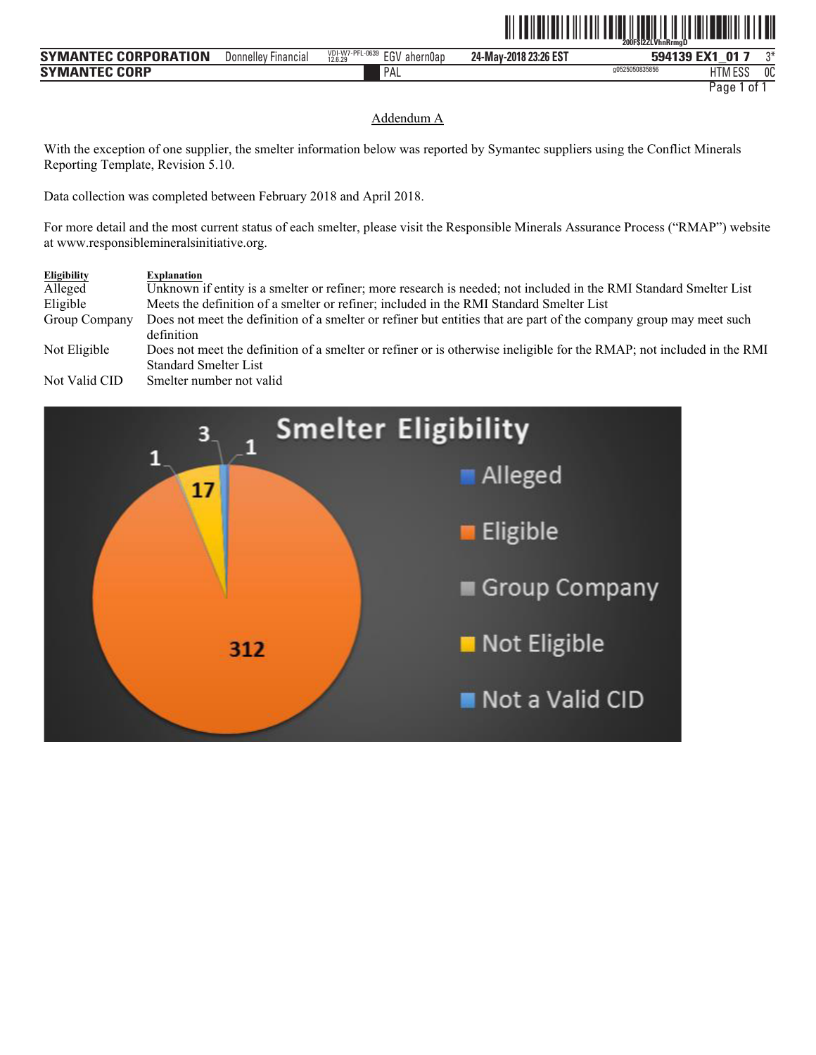|                                                    |                                         |                                                                                          |                       | - 200FŠÍ2ZLVhnRrmaĎ |                         |    |
|----------------------------------------------------|-----------------------------------------|------------------------------------------------------------------------------------------|-----------------------|---------------------|-------------------------|----|
| <b>TION</b><br><b>SYMA</b><br>∵enr⊾<br>PORAT.<br>w | $\sim$<br>Donnellev<br><b>Financial</b> | <b>VDI</b><br>I-W7-PFL-0639<br><b>FAI</b><br>ahern0an<br>vυ<br>$-15M$<br>12.6.29<br>∶ ب∟ | 24-May-2018 23:26 EST | 50/1130<br>IJJ      | <b>DA</b><br><b>FMA</b> | ባች |
| <b>CORP</b><br><b>SYMA</b><br>٩N                   |                                         | PAL                                                                                      |                       | g0525050835856      | 1.500<br>$-1$<br>ᆫᇦ     | 0C |

**TILLEDEN SILVED I 200F ILLEDEN I 200F I 200F I 200F I 200F I 200F I 200F I 200F I 200F I 200F I 200F I 200F I** 

## Addendum A

With the exception of one supplier, the smelter information below was reported by Symantec suppliers using the Conflict Minerals Reporting Template, Revision 5.10.

Data collection was completed between February 2018 and April 2018.

For more detail and the most current status of each smelter, please visit the Responsible Minerals Assurance Process ("RMAP") website at www.responsiblemineralsinitiative.org.

| Eligibility   | <b>Explanation</b>                                                                                                    |
|---------------|-----------------------------------------------------------------------------------------------------------------------|
| Alleged       | Unknown if entity is a smelter or refiner; more research is needed; not included in the RMI Standard Smelter List     |
| Eligible      | Meets the definition of a smelter or refiner; included in the RMI Standard Smelter List                               |
| Group Company | Does not meet the definition of a smelter or refiner but entities that are part of the company group may meet such    |
|               | definition                                                                                                            |
| Not Eligible  | Does not meet the definition of a smelter or refiner or is otherwise ineligible for the RMAP; not included in the RMI |
|               | <b>Standard Smelter List</b>                                                                                          |
| Not Valid CID | Smelter number not valid                                                                                              |

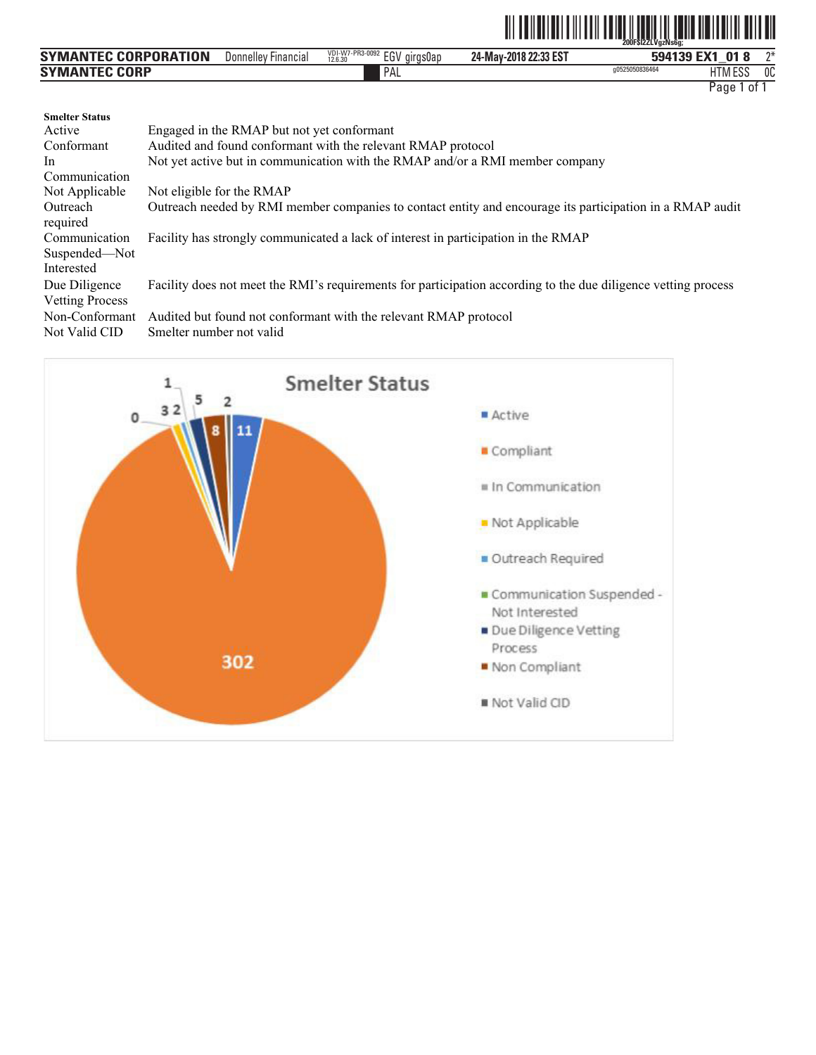|                      |                            |                                 |                       | <b>TILLET</b><br>200FŠI2ZLVgzNs6g; | <b>TILLET</b><br>ITTIIII TIITTII |    |
|----------------------|----------------------------|---------------------------------|-----------------------|------------------------------------|----------------------------------|----|
| SYMANTEC CORPORATION | <b>Donnelley Financial</b> | VDI-W7-PR3-0092 EGV<br>airas0ap | 24-May-2018 22:33 EST |                                    | 594139 EX1 018                   | ግ* |
| <b>SYMANTEC CORP</b> |                            | <b>PAL</b>                      |                       | g0525050836464                     | HTM ESS                          | 0C |

| <b>Smelter Status</b><br>Active<br>Conformant<br>In.<br>Communication | Engaged in the RMAP but not yet conformant<br>Audited and found conformant with the relevant RMAP protocol<br>Not yet active but in communication with the RMAP and/or a RMI member company |
|-----------------------------------------------------------------------|---------------------------------------------------------------------------------------------------------------------------------------------------------------------------------------------|
| Not Applicable                                                        | Not eligible for the RMAP                                                                                                                                                                   |
| Outreach<br>required                                                  | Outreach needed by RMI member companies to contact entity and encourage its participation in a RMAP audit                                                                                   |
| Communication<br>Suspended-Not                                        | Facility has strongly communicated a lack of interest in participation in the RMAP                                                                                                          |
| Interested                                                            |                                                                                                                                                                                             |
| Due Diligence<br><b>Vetting Process</b>                               | Facility does not meet the RMI's requirements for participation according to the due diligence vetting process                                                                              |
| Non-Conformant<br>Not Valid CID                                       | Audited but found not conformant with the relevant RMAP protocol<br>Smelter number not valid                                                                                                |

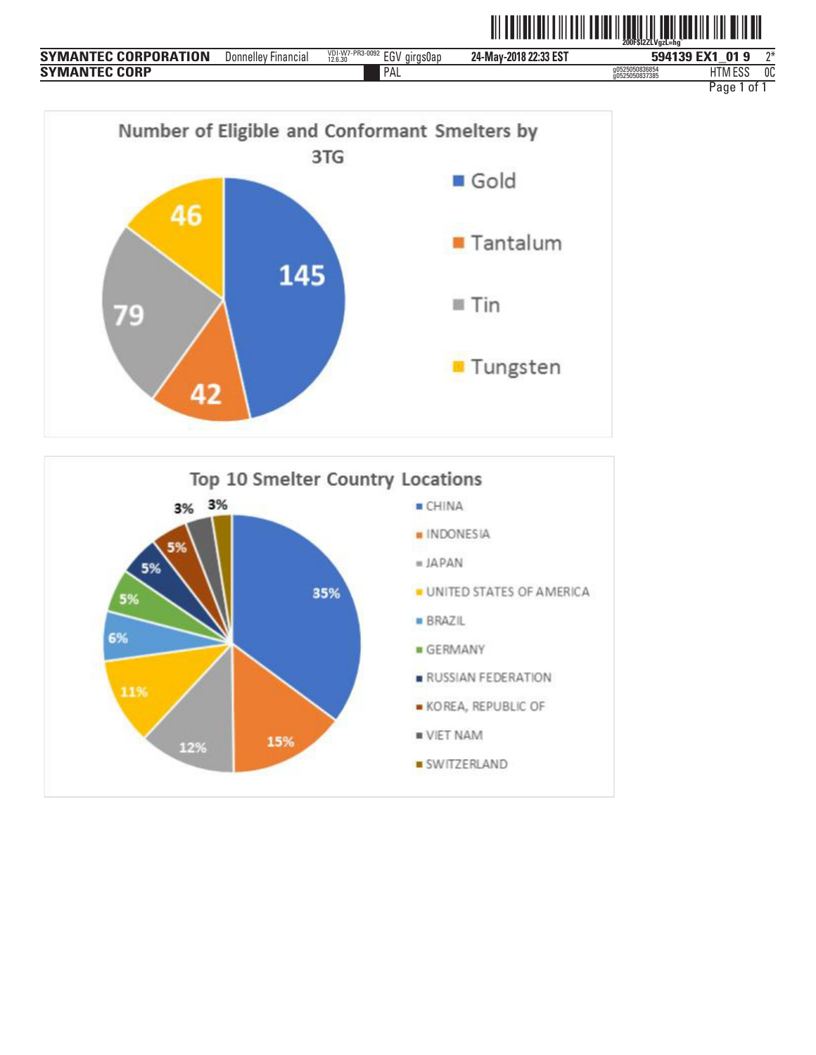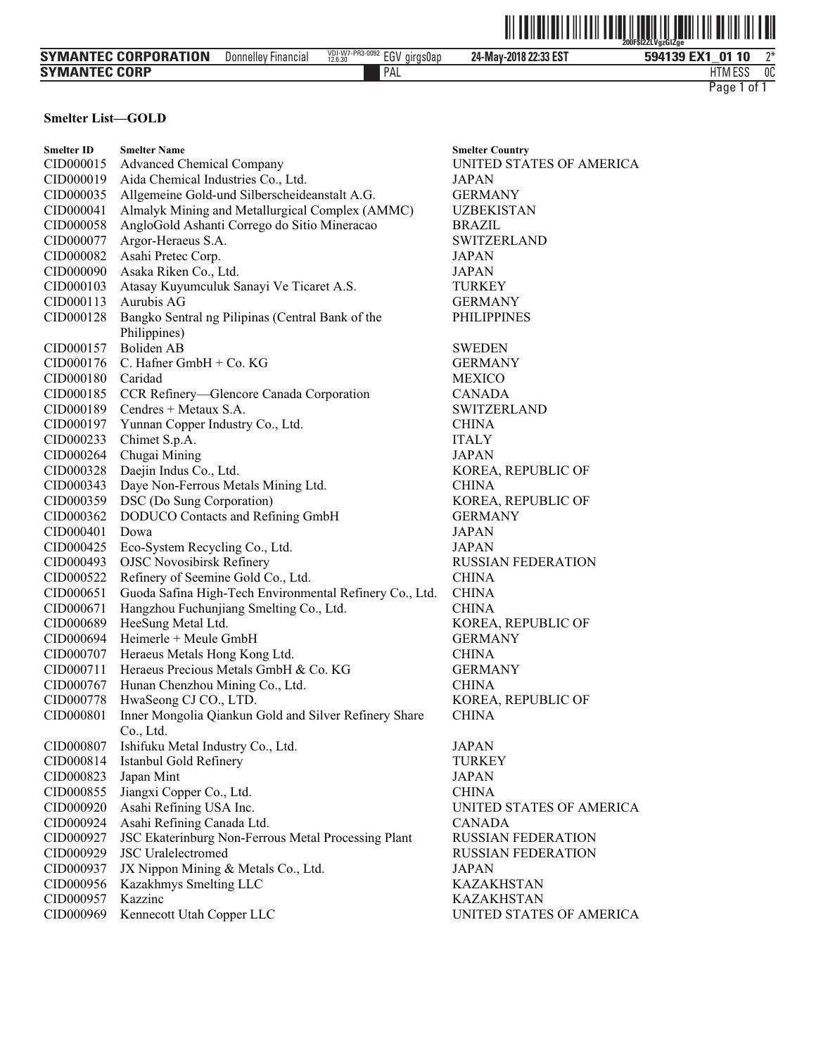|                      |                     |                                         |                       | $\mathbb{I}$<br><u> All do Ilol do Fall de la completa de John Fell de Ilol de</u><br>200F\$I2ZLVgzGIZge |
|----------------------|---------------------|-----------------------------------------|-----------------------|----------------------------------------------------------------------------------------------------------|
| SYMANTEC CORPORATION | Donnelley Financial | VDI-W7-PR3-0092 EGV girgs0ap<br>12.6.30 | 24-May-2018 22:33 EST | ግ*<br>594139 EX1<br>01 10                                                                                |
| SYMANTEC CORP        |                     | PAL                                     |                       | 0C<br><b>HTM ESS</b>                                                                                     |
|                      |                     |                                         |                       | Page 1<br>0t                                                                                             |

# **Smelter List-GOLD**

| <b>Smelter ID</b> | <b>Smelter Name</b>                                                | <b>Smelter Country</b>    |
|-------------------|--------------------------------------------------------------------|---------------------------|
| CID000015         | <b>Advanced Chemical Company</b>                                   | UNITED STATES OF AMERICA  |
| CID000019         | Aida Chemical Industries Co., Ltd.                                 | <b>JAPAN</b>              |
| CID000035         | Allgemeine Gold-und Silberscheideanstalt A.G.                      | <b>GERMANY</b>            |
| CID000041         | Almalyk Mining and Metallurgical Complex (AMMC)                    | <b>UZBEKISTAN</b>         |
| CID000058         | AngloGold Ashanti Corrego do Sitio Mineracao                       | <b>BRAZIL</b>             |
| CID000077         | Argor-Heraeus S.A.                                                 | <b>SWITZERLAND</b>        |
| CID000082         | Asahi Pretec Corp.                                                 | <b>JAPAN</b>              |
| CID000090         | Asaka Riken Co., Ltd.                                              | <b>JAPAN</b>              |
| CID000103         | Atasay Kuyumculuk Sanayi Ve Ticaret A.S.                           | <b>TURKEY</b>             |
| CID000113         | Aurubis AG                                                         | <b>GERMANY</b>            |
| CID000128         | Bangko Sentral ng Pilipinas (Central Bank of the                   | <b>PHILIPPINES</b>        |
|                   | Philippines)                                                       |                           |
| CID000157         | <b>Boliden AB</b>                                                  | <b>SWEDEN</b>             |
| CID000176         | C. Hafner GmbH + Co. KG                                            | <b>GERMANY</b>            |
| CID000180         | Caridad                                                            | <b>MEXICO</b>             |
| CID000185         | CCR Refinery-Glencore Canada Corporation                           | <b>CANADA</b>             |
| CID000189         | Cendres + Metaux S.A.                                              | <b>SWITZERLAND</b>        |
| CID000197         | Yunnan Copper Industry Co., Ltd.                                   | <b>CHINA</b>              |
| CID000233         | Chimet S.p.A.                                                      | <b>ITALY</b>              |
| CID000264         | Chugai Mining                                                      | <b>JAPAN</b>              |
| CID000328         | Daejin Indus Co., Ltd.                                             | KOREA, REPUBLIC OF        |
| CID000343         | Daye Non-Ferrous Metals Mining Ltd.                                | <b>CHINA</b>              |
| CID000359         | DSC (Do Sung Corporation)                                          | KOREA, REPUBLIC OF        |
| CID000362         | DODUCO Contacts and Refining GmbH                                  | <b>GERMANY</b>            |
| CID000401         | Dowa                                                               | <b>JAPAN</b>              |
| CID000425         | Eco-System Recycling Co., Ltd.                                     | <b>JAPAN</b>              |
| CID000493         | <b>OJSC Novosibirsk Refinery</b>                                   | <b>RUSSIAN FEDERATION</b> |
| CID000522         | Refinery of Seemine Gold Co., Ltd.                                 | <b>CHINA</b>              |
| CID000651         | Guoda Safina High-Tech Environmental Refinery Co., Ltd.            | <b>CHINA</b>              |
|                   |                                                                    |                           |
| CID000671         | Hangzhou Fuchunjiang Smelting Co., Ltd.                            | <b>CHINA</b>              |
| CID000689         | HeeSung Metal Ltd.                                                 | KOREA, REPUBLIC OF        |
| CID000694         | Heimerle + Meule GmbH                                              | <b>GERMANY</b>            |
| CID000707         | Heraeus Metals Hong Kong Ltd.                                      | <b>CHINA</b>              |
| CID000711         | Heraeus Precious Metals GmbH & Co. KG                              | <b>GERMANY</b>            |
| CID000767         | Hunan Chenzhou Mining Co., Ltd.                                    | <b>CHINA</b>              |
| CID000778         | HwaSeong CJ CO., LTD.                                              | KOREA, REPUBLIC OF        |
| CID000801         | Inner Mongolia Qiankun Gold and Silver Refinery Share<br>Co., Ltd. | <b>CHINA</b>              |
|                   | CID000807 Ishifuku Metal Industry Co., Ltd.                        | <b>JAPAN</b>              |
| CID000814         | Istanbul Gold Refinery                                             | <b>TURKEY</b>             |
| CID000823         | Japan Mint                                                         | <b>JAPAN</b>              |
| CID000855         | Jiangxi Copper Co., Ltd.                                           | <b>CHINA</b>              |
| CID000920         | Asahi Refining USA Inc.                                            | UNITED STATES OF AMERICA  |
|                   | Asahi Refining Canada Ltd.                                         | <b>CANADA</b>             |
| CID000924         | JSC Ekaterinburg Non-Ferrous Metal Processing Plant                |                           |
| CID000927         |                                                                    | <b>RUSSIAN FEDERATION</b> |
| CID000929         | <b>JSC</b> Uralelectromed                                          | <b>RUSSIAN FEDERATION</b> |
| CID000937         | JX Nippon Mining & Metals Co., Ltd.                                | <b>JAPAN</b>              |
| CID000956         | Kazakhmys Smelting LLC                                             | <b>KAZAKHSTAN</b>         |
| CID000957         | Kazzinc                                                            | <b>KAZAKHSTAN</b>         |
| CID000969         | Kennecott Utah Copper LLC                                          | UNITED STATES OF AMERICA  |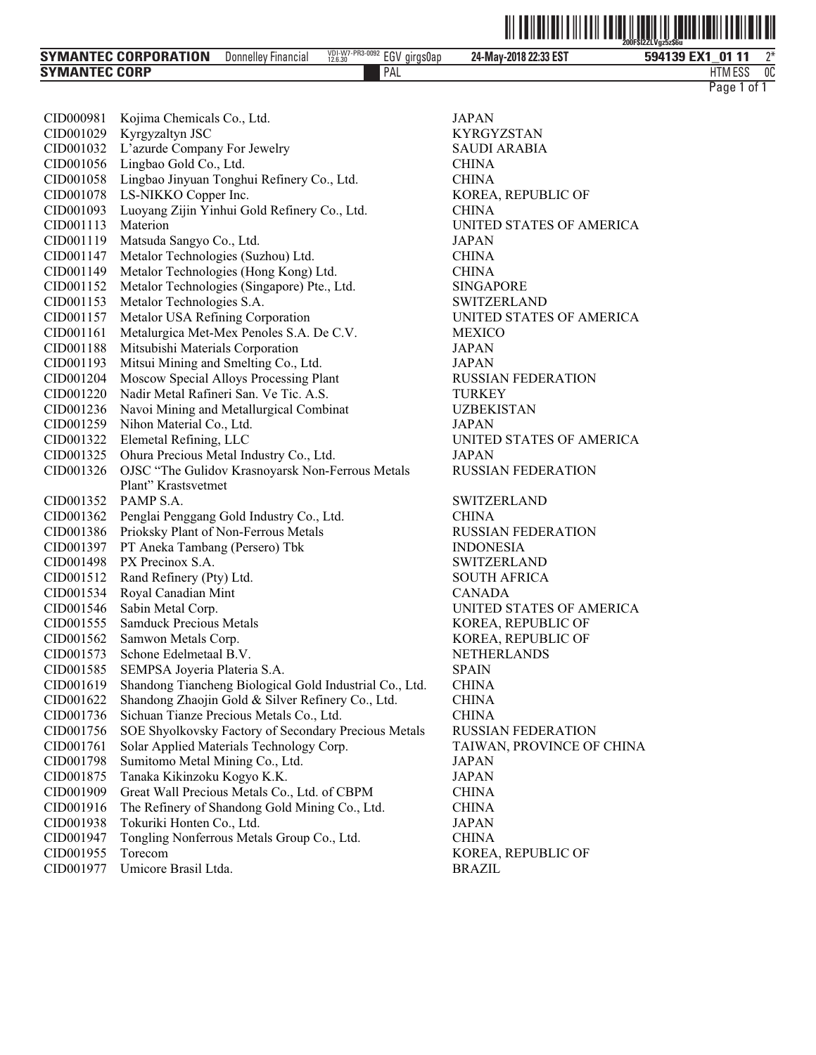|                                |                               |                                               |                       | LUUL ƏILLE VULJLƏUU          |              |
|--------------------------------|-------------------------------|-----------------------------------------------|-----------------------|------------------------------|--------------|
| <b>SYMANTEC CORPORATION</b>    | Donnellev<br><b>Financial</b> | VDI-W7-PR3-0092<br>EGV<br>girasuap<br>12.6.30 | 24-May-2018 22:33 EST | <b>FV4</b><br>0111<br>594139 | ግ*           |
| <b>CORP</b><br><b>SYMANTEC</b> |                               | PAL                                           |                       | 1 FOO<br>HTM ESS             | $\sim$<br>UU |

ˆ200F\$l2ZLVgz5z\$6uŠ **200F\$l2ZLVgz5z\$6u**

| CID000981 | Kojima Chemicals Co., Ltd.                              | JAPAN          |
|-----------|---------------------------------------------------------|----------------|
| CID001029 | Kyrgyzaltyn JSC                                         | <b>KYRGYZ</b>  |
| CID001032 | L'azurde Company For Jewelry                            | <b>SAUDIA</b>  |
| CID001056 | Lingbao Gold Co., Ltd.                                  | <b>CHINA</b>   |
| CID001058 | Lingbao Jinyuan Tonghui Refinery Co., Ltd.              | <b>CHINA</b>   |
| CID001078 | LS-NIKKO Copper Inc.                                    | KOREA,         |
| CID001093 | Luoyang Zijin Yinhui Gold Refinery Co., Ltd.            | <b>CHINA</b>   |
| CID001113 | Materion                                                | UNITED         |
| CID001119 | Matsuda Sangyo Co., Ltd.                                | JAPAN          |
| CID001147 | Metalor Technologies (Suzhou) Ltd.                      | CHINA          |
| CID001149 | Metalor Technologies (Hong Kong) Ltd.                   | <b>CHINA</b>   |
| CID001152 | Metalor Technologies (Singapore) Pte., Ltd.             | <b>SINGAPO</b> |
| CID001153 | Metalor Technologies S.A.                               | <b>SWITZEF</b> |
| CID001157 | Metalor USA Refining Corporation                        | UNITED         |
| CID001161 | Metalurgica Met-Mex Penoles S.A. De C.V.                | <b>MEXICO</b>  |
| CID001188 | Mitsubishi Materials Corporation                        | JAPAN          |
| CID001193 | Mitsui Mining and Smelting Co., Ltd.                    | JAPAN          |
| CID001204 | Moscow Special Alloys Processing Plant                  | <b>RUSSIAN</b> |
| CID001220 | Nadir Metal Rafineri San. Ve Tic. A.S.                  | <b>TURKEY</b>  |
| CID001236 | Navoi Mining and Metallurgical Combinat                 | <b>UZBEKIS</b> |
| CID001259 | Nihon Material Co., Ltd.                                | JAPAN          |
| CID001322 | Elemetal Refining, LLC                                  | UNITED         |
| CID001325 | Ohura Precious Metal Industry Co., Ltd.                 | JAPAN          |
| CID001326 | OJSC "The Gulidov Krasnoyarsk Non-Ferrous Metals        | <b>RUSSIAN</b> |
|           | Plant" Krastsvetmet                                     |                |
| CID001352 | PAMP S.A.                                               | <b>SWITZEF</b> |
| CID001362 | Penglai Penggang Gold Industry Co., Ltd.                | <b>CHINA</b>   |
| CID001386 | Prioksky Plant of Non-Ferrous Metals                    | <b>RUSSIAN</b> |
| CID001397 | PT Aneka Tambang (Persero) Tbk                          | <b>INDONES</b> |
| CID001498 | PX Precinox S.A.                                        | <b>SWITZEF</b> |
| CID001512 | Rand Refinery (Pty) Ltd.                                | SOUTH A        |
| CID001534 | Royal Canadian Mint                                     | <b>CANADA</b>  |
| CID001546 | Sabin Metal Corp.                                       | UNITED         |
| CID001555 | <b>Samduck Precious Metals</b>                          | KOREA,         |
| CID001562 | Samwon Metals Corp.                                     | KOREA,         |
| CID001573 | Schone Edelmetaal B.V.                                  | <b>NETHER</b>  |
| CID001585 | SEMPSA Joyeria Plateria S.A.                            | <b>SPAIN</b>   |
| CID001619 | Shandong Tiancheng Biological Gold Industrial Co., Ltd. | <b>CHINA</b>   |
| CID001622 | Shandong Zhaojin Gold & Silver Refinery Co., Ltd.       | CHINA          |
| CID001736 | Sichuan Tianze Precious Metals Co., Ltd.                | <b>CHINA</b>   |
| CID001756 | SOE Shyolkovsky Factory of Secondary Precious Metals    | <b>RUSSIAN</b> |
| CID001761 | Solar Applied Materials Technology Corp.                | <b>TAIWAN</b>  |
| CID001798 | Sumitomo Metal Mining Co., Ltd.                         | <b>JAPAN</b>   |
| CID001875 | Tanaka Kikinzoku Kogyo K.K.                             | <b>JAPAN</b>   |
| CID001909 | Great Wall Precious Metals Co., Ltd. of CBPM            | <b>CHINA</b>   |
| CID001916 | The Refinery of Shandong Gold Mining Co., Ltd.          | <b>CHINA</b>   |
| CID001938 | Tokuriki Honten Co., Ltd.                               | <b>JAPAN</b>   |
| CID001947 | Tongling Nonferrous Metals Group Co., Ltd.              | <b>CHINA</b>   |
| CID001955 | Torecom                                                 | KOREA,         |
|           |                                                         |                |

CID001977 Umicore Brasil Ltda. BRAZIL

KYRGYZSTAN SAUDI ARABIA KOREA, REPUBLIC OF UNITED STATES OF AMERICA<br>JAPAN SINGAPORE SWITZERLAND UNITED STATES OF AMERICA RUSSIAN FEDERATION UZBEKISTAN UNITED STATES OF AMERICA RUSSIAN FEDERATION SWITZERLAND RUSSIAN FEDERATION INDONESIA SWITZERLAND SOUTH AFRICA CANADA UNITED STATES OF AMERICA KOREA, REPUBLIC OF KOREA, REPUBLIC OF NETHERLANDS ls RUSSIAN FEDERATION TAIWAN, PROVINCE OF CHINA KOREA, REPUBLIC OF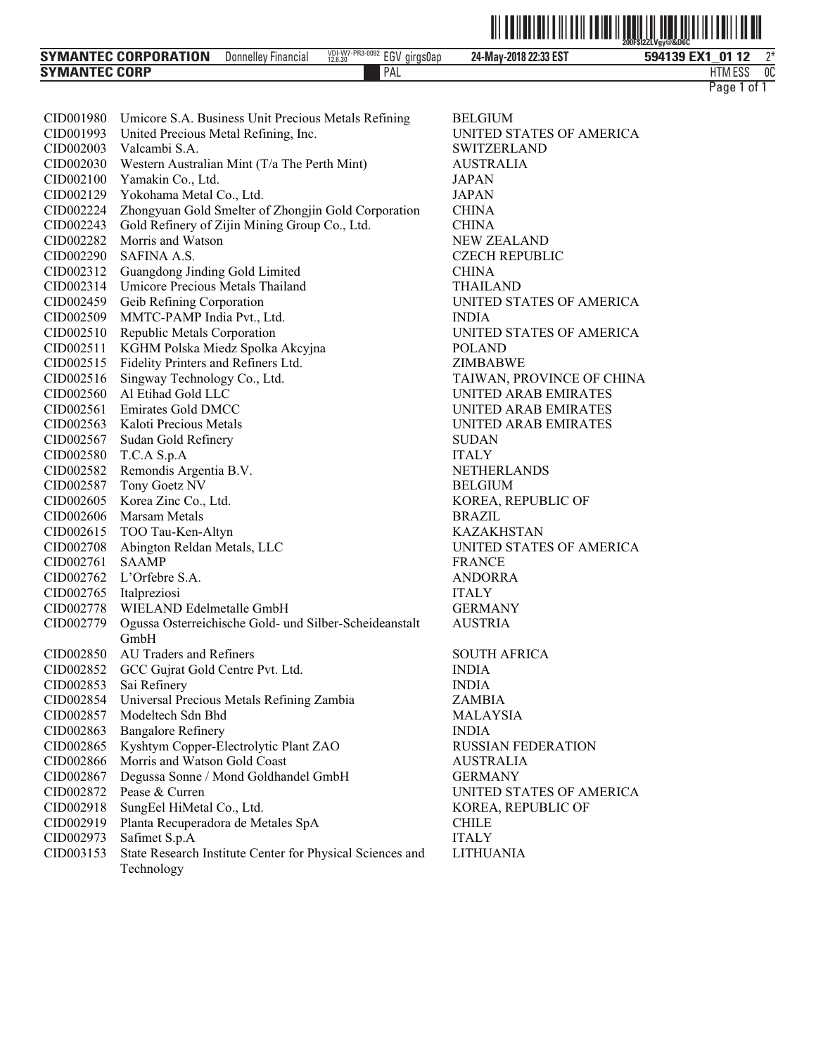| <b>SYMANTEC CORPORATION</b> | Donnelley Financial | VDI-W7-PR3-0092<br>12.6.30<br><b>FOU</b><br><i>ciras0ap</i><br>cu' | 24-May-2018 22:33 EST | $n*$<br>594139 EX1<br>0112 |
|-----------------------------|---------------------|--------------------------------------------------------------------|-----------------------|----------------------------|
| <b>SYMANTEC CORP</b>        |                     | PAL                                                                |                       | 0C<br><b>HTMESS</b>        |
|                             |                     |                                                                    |                       | Page<br>0t                 |

| CID001980 | Umicore S.A. Business Unit Precious Metals Refining                     | <b>BELGIUN</b> |
|-----------|-------------------------------------------------------------------------|----------------|
| CID001993 | United Precious Metal Refining, Inc.                                    | UNITED         |
| CID002003 | Valcambi S.A.                                                           | <b>SWITZEF</b> |
| CID002030 | Western Australian Mint (T/a The Perth Mint)                            | <b>AUSTRA</b>  |
| CID002100 | Yamakin Co., Ltd.                                                       | JAPAN          |
| CID002129 | Yokohama Metal Co., Ltd.                                                | JAPAN          |
| CID002224 | Zhongyuan Gold Smelter of Zhongjin Gold Corporation                     | <b>CHINA</b>   |
| CID002243 | Gold Refinery of Zijin Mining Group Co., Ltd.                           | CHINA          |
| CID002282 | Morris and Watson                                                       | <b>NEW ZEA</b> |
| CID002290 | SAFINA A.S.                                                             | <b>CZECHR</b>  |
| CID002312 | Guangdong Jinding Gold Limited                                          | <b>CHINA</b>   |
| CID002314 | Umicore Precious Metals Thailand                                        | <b>THAILAN</b> |
| CID002459 | Geib Refining Corporation                                               | UNITED         |
| CID002509 | MMTC-PAMP India Pvt., Ltd.                                              | <b>INDIA</b>   |
| CID002510 | Republic Metals Corporation                                             | <b>UNITED</b>  |
| CID002511 | KGHM Polska Miedz Spolka Akcyjna                                        | <b>POLAND</b>  |
| CID002515 | Fidelity Printers and Refiners Ltd.                                     | <b>ZIMBAB</b>  |
| CID002516 | Singway Technology Co., Ltd.                                            | <b>TAIWAN</b>  |
| CID002560 | Al Etihad Gold LLC                                                      | UNITED.        |
| CID002561 | <b>Emirates Gold DMCC</b>                                               | UNITED.        |
| CID002563 | Kaloti Precious Metals                                                  | <b>UNITED</b>  |
| CID002567 | Sudan Gold Refinery                                                     | SUDAN          |
| CID002580 | T.C.A S.p.A                                                             | ITALY          |
| CID002582 | Remondis Argentia B.V.                                                  | <b>NETHER</b>  |
| CID002587 | Tony Goetz NV                                                           | <b>BELGIUN</b> |
| CID002605 | Korea Zinc Co., Ltd.                                                    | KOREA,         |
| CID002606 | Marsam Metals                                                           | <b>BRAZIL</b>  |
| CID002615 | TOO Tau-Ken-Altyn                                                       | <b>KAZAKH</b>  |
| CID002708 | Abington Reldan Metals, LLC                                             | UNITED         |
| CID002761 | <b>SAAMP</b>                                                            | <b>FRANCE</b>  |
| CID002762 | L'Orfebre S.A.                                                          | <b>ANDORR</b>  |
| CID002765 | Italpreziosi                                                            | <b>ITALY</b>   |
| CID002778 | WIELAND Edelmetalle GmbH                                                | <b>GERMAN</b>  |
| CID002779 | Ogussa Osterreichische Gold- und Silber-Scheideanstalt                  | <b>AUSTRIA</b> |
|           | GmbH                                                                    |                |
| CID002850 | AU Traders and Refiners                                                 | <b>SOUTH A</b> |
| CID002852 | GCC Gujrat Gold Centre Pvt. Ltd.                                        | <b>INDIA</b>   |
| CID002853 | Sai Refinery                                                            | <b>INDIA</b>   |
| CID002854 | Universal Precious Metals Refining Zambia                               | ZAMBIA         |
| CID002857 | Modeltech Sdn Bhd                                                       | <b>MALAYS</b>  |
| CID002863 | <b>Bangalore Refinery</b>                                               | <b>INDIA</b>   |
| CID002865 | Kyshtym Copper-Electrolytic Plant ZAO                                   | <b>RUSSIAN</b> |
| CID002866 | Morris and Watson Gold Coast                                            | <b>AUSTRA</b>  |
| CID002867 | Degussa Sonne / Mond Goldhandel GmbH                                    | <b>GERMAN</b>  |
| CID002872 | Pease & Curren                                                          | UNITED         |
| CID002918 | SungEel HiMetal Co., Ltd.                                               | KOREA,         |
| CID002919 | Planta Recuperadora de Metales SpA                                      | CHILE          |
| CID002973 | Safimet S.p.A                                                           | <b>ITALY</b>   |
| CID003153 | State Research Institute Center for Physical Sciences and<br>Technology | <b>LITHUAN</b> |

BELGIUM UNITED STATES OF AMERICA SWITZERLAND CID002030 Western Australian Mint (T/a The Perth Mint) AUSTRALIA **NEW ZEALAND** CZECH REPUBLIC THAILAND UNITED STATES OF AMERICA UNITED STATES OF AMERICA ZIMBABWE TAIWAN, PROVINCE OF CHINA UNITED ARAB EMIRATES UNITED ARAB EMIRATES UNITED ARAB EMIRATES NETHERLANDS **BELGIUM** KOREA, REPUBLIC OF KAZAKHSTAN UNITED STATES OF AMERICA ANDORRA GERMANY AUSTRIA SOUTH AFRICA **MALAYSIA** RUSSIAN FEDERATION AUSTRALIA GERMANY UNITED STATES OF AMERICA KOREA, REPUBLIC OF LITHUANIA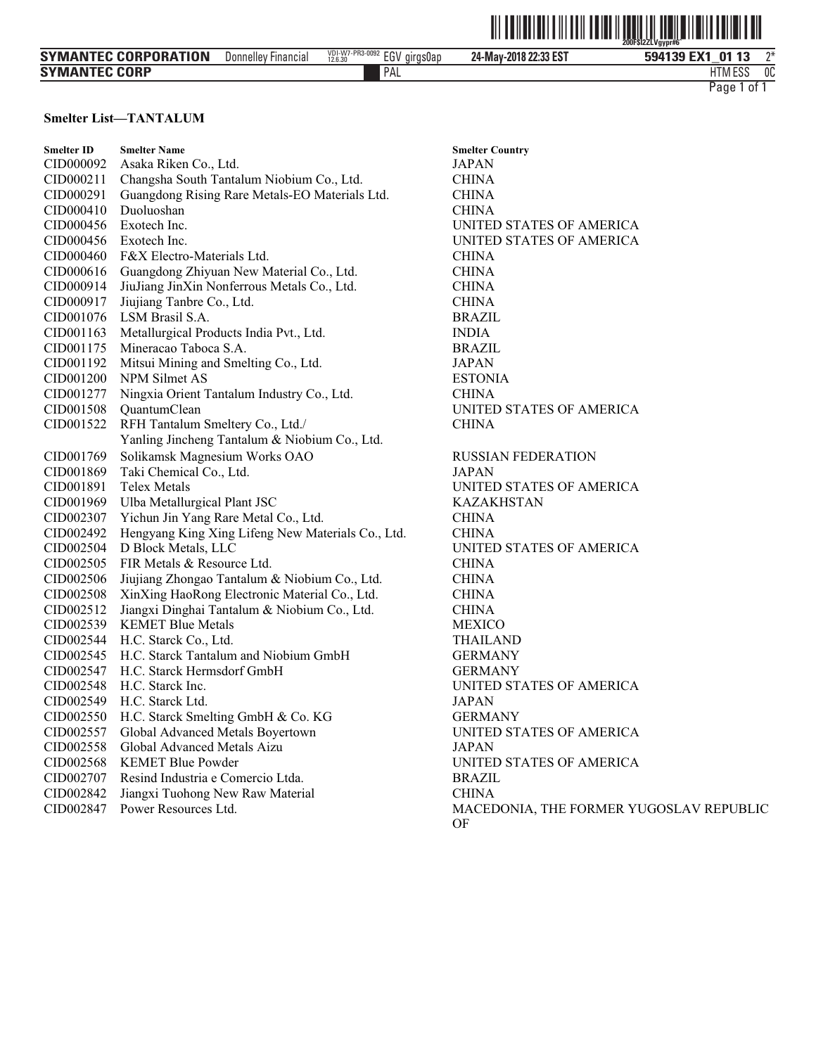|                             |                            |                                 | WIND                  | $\parallel$<br>$\parallel$<br><b>THULLER</b><br>200FSI2ZLVgypr#6 |
|-----------------------------|----------------------------|---------------------------------|-----------------------|------------------------------------------------------------------|
| <b>SYMANTEC CORPORATION</b> | <b>Donnelley Financial</b> | VDI-W7-PR3-0092 EGV<br>girgs0ap | 24-May-2018 22:33 EST | ገ*<br>594139 EX1<br>01 13                                        |
| <b>SYMANTEC CORP</b>        |                            | ' PAL                           |                       | 0C<br><b>HTM ESS</b>                                             |
|                             |                            |                                 |                       | . of ´<br>Page <sup>1</sup>                                      |

#### **Smelter List—TANTALUM**

| <b>Smelter Name</b>                            | <b>Smelter Co</b>                                                                                                                                                                                                                                                                                                                                                                                                  |
|------------------------------------------------|--------------------------------------------------------------------------------------------------------------------------------------------------------------------------------------------------------------------------------------------------------------------------------------------------------------------------------------------------------------------------------------------------------------------|
| Asaka Riken Co., Ltd.                          | <b>JAPAN</b>                                                                                                                                                                                                                                                                                                                                                                                                       |
| Changsha South Tantalum Niobium Co., Ltd.      | CHINA                                                                                                                                                                                                                                                                                                                                                                                                              |
| Guangdong Rising Rare Metals-EO Materials Ltd. | CHINA                                                                                                                                                                                                                                                                                                                                                                                                              |
| Duoluoshan                                     | CHINA                                                                                                                                                                                                                                                                                                                                                                                                              |
| Exotech Inc.                                   | UNITED                                                                                                                                                                                                                                                                                                                                                                                                             |
| Exotech Inc.                                   | UNITED                                                                                                                                                                                                                                                                                                                                                                                                             |
| F&X Electro-Materials Ltd.                     | CHINA                                                                                                                                                                                                                                                                                                                                                                                                              |
| Guangdong Zhiyuan New Material Co., Ltd.       | CHINA                                                                                                                                                                                                                                                                                                                                                                                                              |
| JiuJiang JinXin Nonferrous Metals Co., Ltd.    | <b>CHINA</b>                                                                                                                                                                                                                                                                                                                                                                                                       |
| Jiujiang Tanbre Co., Ltd.                      | CHINA                                                                                                                                                                                                                                                                                                                                                                                                              |
| LSM Brasil S.A.                                | <b>BRAZIL</b>                                                                                                                                                                                                                                                                                                                                                                                                      |
| Metallurgical Products India Pvt., Ltd.        | <b>INDIA</b>                                                                                                                                                                                                                                                                                                                                                                                                       |
| Mineracao Taboca S.A.                          | <b>BRAZIL</b>                                                                                                                                                                                                                                                                                                                                                                                                      |
| Mitsui Mining and Smelting Co., Ltd.           | JAPAN                                                                                                                                                                                                                                                                                                                                                                                                              |
| <b>NPM Silmet AS</b>                           | <b>ESTONI</b>                                                                                                                                                                                                                                                                                                                                                                                                      |
| Ningxia Orient Tantalum Industry Co., Ltd.     | <b>CHINA</b>                                                                                                                                                                                                                                                                                                                                                                                                       |
| QuantumClean                                   | <b>UNITED</b>                                                                                                                                                                                                                                                                                                                                                                                                      |
|                                                | <b>CHINA</b>                                                                                                                                                                                                                                                                                                                                                                                                       |
| Yanling Jincheng Tantalum & Niobium Co., Ltd.  |                                                                                                                                                                                                                                                                                                                                                                                                                    |
|                                                | <b>RUSSIA</b>                                                                                                                                                                                                                                                                                                                                                                                                      |
| Taki Chemical Co., Ltd.                        | <b>JAPAN</b>                                                                                                                                                                                                                                                                                                                                                                                                       |
| <b>Telex Metals</b>                            | <b>UNITED</b>                                                                                                                                                                                                                                                                                                                                                                                                      |
|                                                | <b>KAZAK</b>                                                                                                                                                                                                                                                                                                                                                                                                       |
|                                                | <b>CHINA</b>                                                                                                                                                                                                                                                                                                                                                                                                       |
|                                                | CHINA                                                                                                                                                                                                                                                                                                                                                                                                              |
| D Block Metals, LLC                            | <b>UNITED</b>                                                                                                                                                                                                                                                                                                                                                                                                      |
| FIR Metals & Resource Ltd.                     | <b>CHINA</b>                                                                                                                                                                                                                                                                                                                                                                                                       |
|                                                | CHINA                                                                                                                                                                                                                                                                                                                                                                                                              |
| XinXing HaoRong Electronic Material Co., Ltd.  | <b>CHINA</b>                                                                                                                                                                                                                                                                                                                                                                                                       |
|                                                | CHINA                                                                                                                                                                                                                                                                                                                                                                                                              |
| <b>KEMET Blue Metals</b>                       | <b>MEXICC</b>                                                                                                                                                                                                                                                                                                                                                                                                      |
| H.C. Starck Co., Ltd.                          | <b>THAILA</b>                                                                                                                                                                                                                                                                                                                                                                                                      |
|                                                | <b>GERMA</b>                                                                                                                                                                                                                                                                                                                                                                                                       |
| H.C. Starck Hermsdorf GmbH                     | <b>GERMA</b>                                                                                                                                                                                                                                                                                                                                                                                                       |
| H.C. Starck Inc.                               | <b>UNITED</b>                                                                                                                                                                                                                                                                                                                                                                                                      |
| H.C. Starck Ltd.                               | <b>JAPAN</b>                                                                                                                                                                                                                                                                                                                                                                                                       |
|                                                | <b>GERMA</b>                                                                                                                                                                                                                                                                                                                                                                                                       |
|                                                | UNITED                                                                                                                                                                                                                                                                                                                                                                                                             |
| Global Advanced Metals Aizu                    | JAPAN                                                                                                                                                                                                                                                                                                                                                                                                              |
| <b>KEMET Blue Powder</b>                       | <b>UNITED</b>                                                                                                                                                                                                                                                                                                                                                                                                      |
| Resind Industria e Comercio Ltda.              | <b>BRAZIL</b>                                                                                                                                                                                                                                                                                                                                                                                                      |
| Jiangxi Tuohong New Raw Material               | CHINA                                                                                                                                                                                                                                                                                                                                                                                                              |
| Power Resources Ltd.                           | <b>MACED</b>                                                                                                                                                                                                                                                                                                                                                                                                       |
|                                                | RFH Tantalum Smeltery Co., Ltd./<br>Solikamsk Magnesium Works OAO<br>Ulba Metallurgical Plant JSC<br>Yichun Jin Yang Rare Metal Co., Ltd.<br>Hengyang King Xing Lifeng New Materials Co., Ltd.<br>Jiujiang Zhongao Tantalum & Niobium Co., Ltd.<br>Jiangxi Dinghai Tantalum & Niobium Co., Ltd.<br>H.C. Starck Tantalum and Niobium GmbH<br>H.C. Starck Smelting GmbH & Co. KG<br>Global Advanced Metals Boyertown |

**Smelter Country** UNITED STATES OF AMERICA UNITED STATES OF AMERICA **ESTONIA** UNITED STATES OF AMERICA **CHINA** RUSSIAN FEDERATION UNITED STATES OF AMERICA KAZAKHSTAN UNITED STATES OF AMERICA CHINA **MEXICO** THAILAND GERMANY GERMANY UNITED STATES OF AMERICA GERMANY UNITED STATES OF AMERICA UNITED STATES OF AMERICA BRAZIL MACEDONIA, THE FORMER YUGOSLAV REPUBLIC OF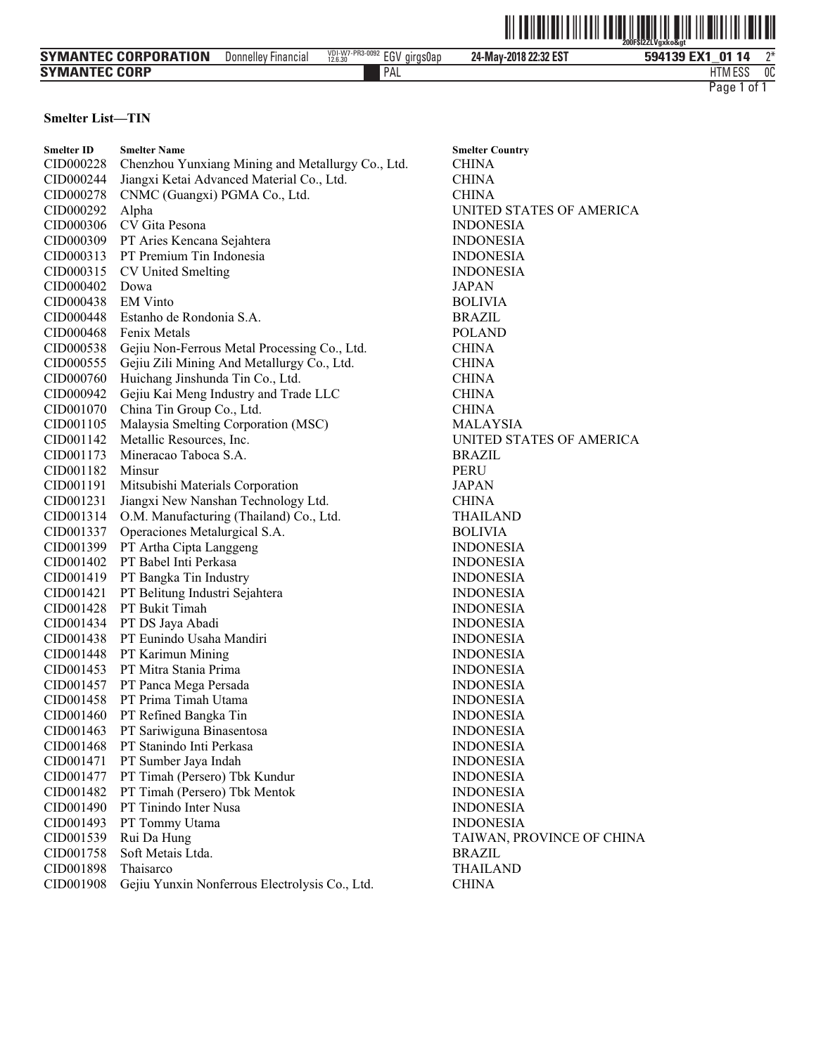|                             |                     |                                                         | $^{\prime\prime}$ $\vert\vert\vert\vert\vert\vert\vert$ | <u>ALIITTIIN TIINI ILIITTIIN T</u><br>III<br>Ž00FŠĺŽŽĽVaxko&at |
|-----------------------------|---------------------|---------------------------------------------------------|---------------------------------------------------------|----------------------------------------------------------------|
| <b>SYMANTEC CORPORATION</b> | Donnelley Financial | $V_{12.6.30}^{VD1-W7-PR3-0092}$ EGV girgs0ap<br>12.6.30 | 24-May-2018 22:32 EST                                   | ገ*<br>594139 EX1 01 14                                         |
| <b>SYMANTEC CORP</b>        |                     | <b>PAL</b>                                              |                                                         | 0C<br><b>HTM ESS</b>                                           |
|                             |                     |                                                         |                                                         | Page 1<br>0t                                                   |

# **Smelter List—TIN**

| <b>Smelter ID</b> | <b>Smelter Name</b>                               | <b>Smelter Country</b>    |
|-------------------|---------------------------------------------------|---------------------------|
| CID000228         | Chenzhou Yunxiang Mining and Metallurgy Co., Ltd. | <b>CHINA</b>              |
| CID000244         | Jiangxi Ketai Advanced Material Co., Ltd.         | <b>CHINA</b>              |
| CID000278         | CNMC (Guangxi) PGMA Co., Ltd.                     | <b>CHINA</b>              |
| CID000292         | Alpha                                             | UNITED STATES OF AMERICA  |
| CID000306         | CV Gita Pesona                                    | <b>INDONESIA</b>          |
| CID000309         | PT Aries Kencana Sejahtera                        | <b>INDONESIA</b>          |
| CID000313         | PT Premium Tin Indonesia                          | <b>INDONESIA</b>          |
| CID000315         | <b>CV United Smelting</b>                         | <b>INDONESIA</b>          |
| CID000402         | Dowa                                              | JAPAN                     |
| CID000438         | <b>EM Vinto</b>                                   | <b>BOLIVIA</b>            |
| CID000448         | Estanho de Rondonia S.A.                          | <b>BRAZIL</b>             |
| CID000468         | Fenix Metals                                      | <b>POLAND</b>             |
| CID000538         | Gejiu Non-Ferrous Metal Processing Co., Ltd.      | <b>CHINA</b>              |
| CID000555         | Gejiu Zili Mining And Metallurgy Co., Ltd.        | <b>CHINA</b>              |
| CID000760         | Huichang Jinshunda Tin Co., Ltd.                  | <b>CHINA</b>              |
| CID000942         | Gejiu Kai Meng Industry and Trade LLC             | <b>CHINA</b>              |
| CID001070         | China Tin Group Co., Ltd.                         | <b>CHINA</b>              |
| CID001105         | Malaysia Smelting Corporation (MSC)               | <b>MALAYSIA</b>           |
| CID001142         | Metallic Resources, Inc.                          | UNITED STATES OF AMERICA  |
| CID001173         | Mineracao Taboca S.A.                             | <b>BRAZIL</b>             |
| CID001182         | Minsur                                            | <b>PERU</b>               |
| CID001191         | Mitsubishi Materials Corporation                  | JAPAN                     |
| CID001231         | Jiangxi New Nanshan Technology Ltd.               | <b>CHINA</b>              |
| CID001314         | O.M. Manufacturing (Thailand) Co., Ltd.           | <b>THAILAND</b>           |
| CID001337         | Operaciones Metalurgical S.A.                     | <b>BOLIVIA</b>            |
| CID001399         | PT Artha Cipta Langgeng                           | <b>INDONESIA</b>          |
| CID001402         | PT Babel Inti Perkasa                             | <b>INDONESIA</b>          |
| CID001419         | PT Bangka Tin Industry                            | <b>INDONESIA</b>          |
| CID001421         | PT Belitung Industri Sejahtera                    | <b>INDONESIA</b>          |
| CID001428         | PT Bukit Timah                                    | <b>INDONESIA</b>          |
| CID001434         | PT DS Jaya Abadi                                  | <b>INDONESIA</b>          |
| CID001438         | PT Eunindo Usaha Mandiri                          | <b>INDONESIA</b>          |
| CID001448         | PT Karimun Mining                                 | <b>INDONESIA</b>          |
| CID001453         | PT Mitra Stania Prima                             | <b>INDONESIA</b>          |
| CID001457         | PT Panca Mega Persada                             | <b>INDONESIA</b>          |
| CID001458         | PT Prima Timah Utama                              | <b>INDONESIA</b>          |
| CID001460         | PT Refined Bangka Tin                             | <b>INDONESIA</b>          |
| CID001463         | PT Sariwiguna Binasentosa                         | <b>INDONESIA</b>          |
| CID001468         | PT Stanindo Inti Perkasa                          | <b>INDONESIA</b>          |
| CID001471         | PT Sumber Jaya Indah                              | <b>INDONESIA</b>          |
| CID001477         | PT Timah (Persero) Tbk Kundur                     | <b>INDONESIA</b>          |
| CID001482         | PT Timah (Persero) Tbk Mentok                     | <b>INDONESIA</b>          |
| CID001490         | PT Tinindo Inter Nusa                             | <b>INDONESIA</b>          |
| CID001493         | PT Tommy Utama                                    | <b>INDONESIA</b>          |
| CID001539         | Rui Da Hung                                       | TAIWAN, PROVINCE OF CHINA |
| CID001758         | Soft Metais Ltda.                                 | <b>BRAZIL</b>             |
| CID001898         | Thaisarco                                         | <b>THAILAND</b>           |
| CID001908         | Gejiu Yunxin Nonferrous Electrolysis Co., Ltd.    | <b>CHINA</b>              |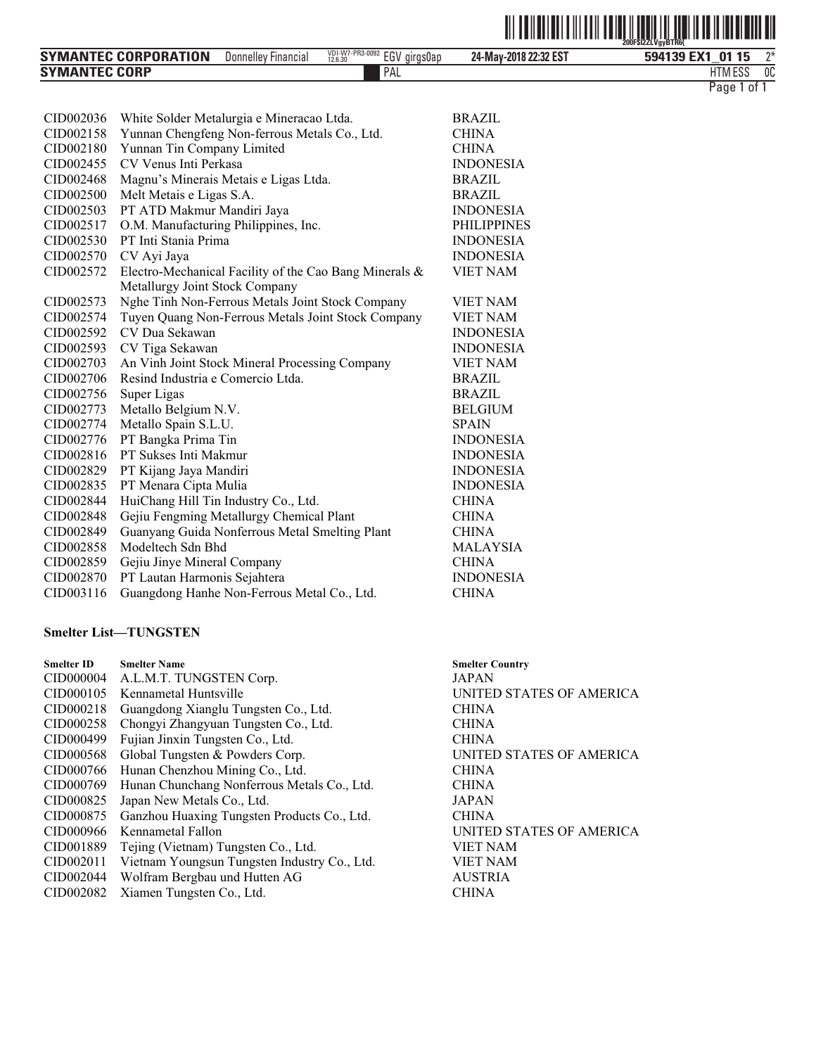|--|--|--|--|

| <b>SYMANTEC CORPORATION</b> | <b>Financia</b><br><b>Donnelley</b> | $_{12.6.30}^{VD1-W7-PR3-0092}$ EGV girgs0ap | 24-May-2018 22:32 EST | 594139 EX1<br>15<br>ุก1            | n- |
|-----------------------------|-------------------------------------|---------------------------------------------|-----------------------|------------------------------------|----|
| <b>SYMANTEC CORP</b>        |                                     | PAL                                         |                       | ۱ ۳ می<br><b>ITM</b><br><b>E99</b> | 00 |
|                             |                                     |                                             |                       | Page<br>ot.                        |    |

| CID002036             | White Solder Metalurgia e Mineracao Ltda.              | <b>BRAZIL</b>      |
|-----------------------|--------------------------------------------------------|--------------------|
| CID002158             | Yunnan Chengfeng Non-ferrous Metals Co., Ltd.          | <b>CHINA</b>       |
| CID002180             | Yunnan Tin Company Limited                             | <b>CHINA</b>       |
| CID <sub>002455</sub> | CV Venus Inti Perkasa                                  | <b>INDONESIA</b>   |
| CID002468             | Magnu's Minerais Metais e Ligas Ltda.                  | <b>BRAZIL</b>      |
| CID002500             | Melt Metais e Ligas S.A.                               | <b>BRAZIL</b>      |
| CID002503             | PT ATD Makmur Mandiri Jaya                             | <b>INDONESIA</b>   |
| CID002517             | O.M. Manufacturing Philippines, Inc.                   | <b>PHILIPPINES</b> |
| CID002530             | PT Inti Stania Prima                                   | <b>INDONESIA</b>   |
| CID002570             | CV Ayi Jaya                                            | <b>INDONESIA</b>   |
| CID002572             | Electro-Mechanical Facility of the Cao Bang Minerals & | <b>VIET NAM</b>    |
|                       | Metallurgy Joint Stock Company                         |                    |
| CID002573             | Nghe Tinh Non-Ferrous Metals Joint Stock Company       | <b>VIET NAM</b>    |
| CID002574             | Tuyen Quang Non-Ferrous Metals Joint Stock Company     | <b>VIET NAM</b>    |
| CID <sub>002592</sub> | CV Dua Sekawan                                         | <b>INDONESIA</b>   |
| CID002593             | CV Tiga Sekawan                                        | <b>INDONESIA</b>   |
| CID002703             | An Vinh Joint Stock Mineral Processing Company         | <b>VIET NAM</b>    |
| CID002706             | Resind Industria e Comercio Ltda.                      | <b>BRAZIL</b>      |
| CID002756             | Super Ligas                                            | <b>BRAZIL</b>      |
| CID002773             | Metallo Belgium N.V.                                   | <b>BELGIUM</b>     |
| CID002774             | Metallo Spain S.L.U.                                   | <b>SPAIN</b>       |
| CID002776             | PT Bangka Prima Tin                                    | <b>INDONESIA</b>   |
| CID002816             | PT Sukses Inti Makmur                                  | <b>INDONESIA</b>   |
| CID002829             | PT Kijang Jaya Mandiri                                 | <b>INDONESIA</b>   |
| CID002835             | PT Menara Cipta Mulia                                  | <b>INDONESIA</b>   |
| CID002844             | HuiChang Hill Tin Industry Co., Ltd.                   | <b>CHINA</b>       |
| CID002848             | Gejiu Fengming Metallurgy Chemical Plant               | <b>CHINA</b>       |
| CID002849             | Guanyang Guida Nonferrous Metal Smelting Plant         | <b>CHINA</b>       |
| CID002858             | Modeltech Sdn Bhd                                      | <b>MALAYSIA</b>    |
| CID002859             | Gejiu Jinye Mineral Company                            | <b>CHINA</b>       |
| CID002870             | PT Lautan Harmonis Sejahtera                           | <b>INDONESIA</b>   |
| CID003116             | Guangdong Hanhe Non-Ferrous Metal Co., Ltd.            | <b>CHINA</b>       |

### **Smelter List-TUNGSTEN**

| <b>Smelter ID</b> | <b>Smelter Name</b>                          | <b>Smelter Country</b>   |
|-------------------|----------------------------------------------|--------------------------|
| CID000004         | A.L.M.T. TUNGSTEN Corp.                      | <b>JAPAN</b>             |
| CID000105         | Kennametal Huntsville                        | UNITED STATES OF AMERICA |
| CID000218         | Guangdong Xianglu Tungsten Co., Ltd.         | <b>CHINA</b>             |
| CID000258         | Chongyi Zhangyuan Tungsten Co., Ltd.         | <b>CHINA</b>             |
| CID000499         | Fujian Jinxin Tungsten Co., Ltd.             | <b>CHINA</b>             |
| CID000568         | Global Tungsten & Powders Corp.              | UNITED STATES OF AMERICA |
| CID000766         | Hunan Chenzhou Mining Co., Ltd.              | <b>CHINA</b>             |
| CID000769         | Hunan Chunchang Nonferrous Metals Co., Ltd.  | <b>CHINA</b>             |
| CID000825         | Japan New Metals Co., Ltd.                   | <b>JAPAN</b>             |
| CID000875         | Ganzhou Huaxing Tungsten Products Co., Ltd.  | <b>CHINA</b>             |
| CID000966         | Kennametal Fallon                            | UNITED STATES OF AMERICA |
| CID001889         | Tejing (Vietnam) Tungsten Co., Ltd.          | <b>VIET NAM</b>          |
| CID002011         | Vietnam Youngsun Tungsten Industry Co., Ltd. | <b>VIET NAM</b>          |
| CID002044         | Wolfram Bergbau und Hutten AG                | <b>AUSTRIA</b>           |
| CID002082         | Xiamen Tungsten Co., Ltd.                    | <b>CHINA</b>             |